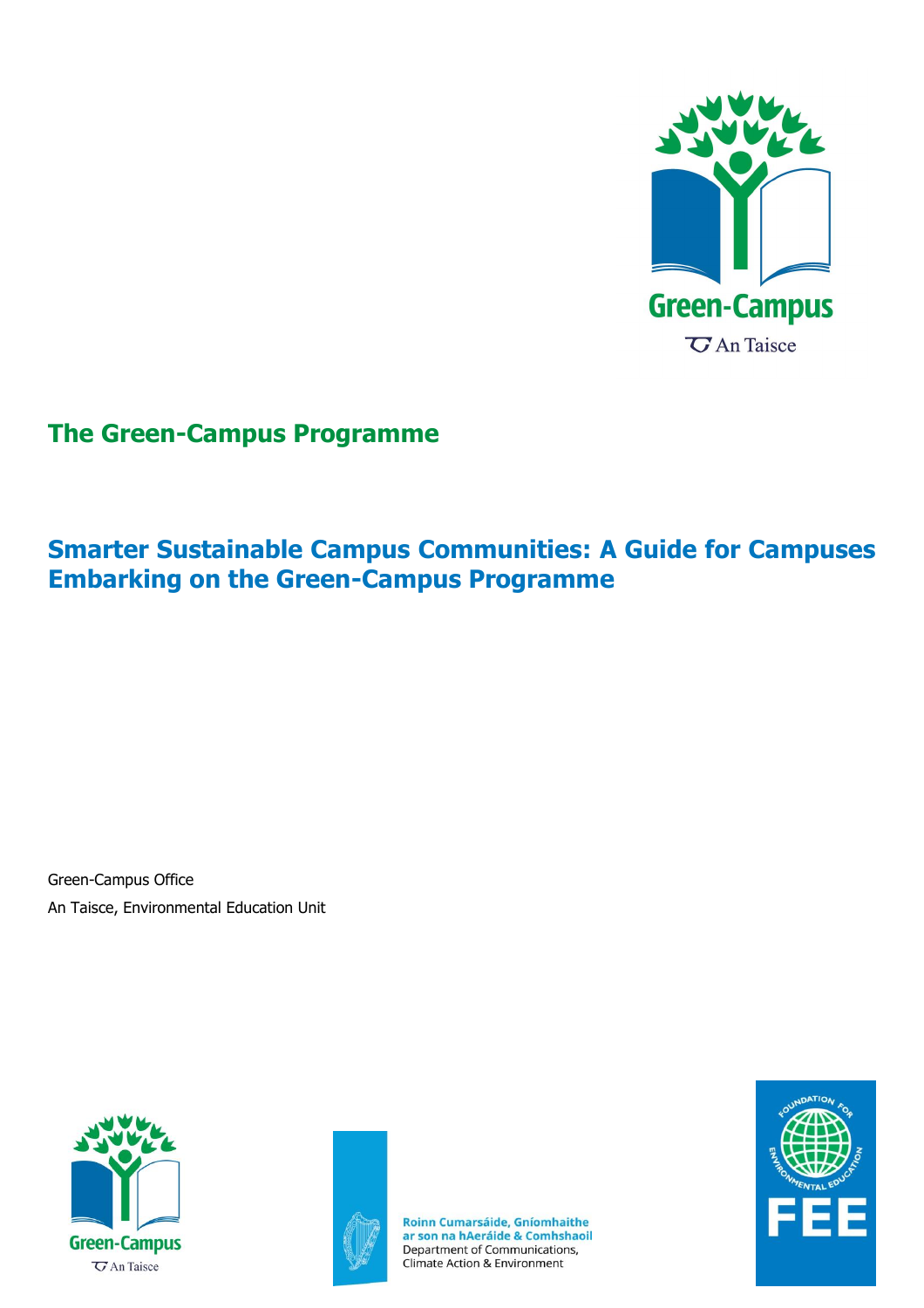

# <span id="page-0-0"></span>**The Green-Campus Programme**

# <span id="page-0-1"></span>**Smarter Sustainable Campus Communities: A Guide for Campuses Embarking on the Green-Campus Programme**

Green-Campus Office An Taisce, Environmental Education Unit





Roinn Cumarsáide, Gníomhaithe<br>ar son na hAeráide & Comhshaoil Department of Communications, Climate Action & Environment

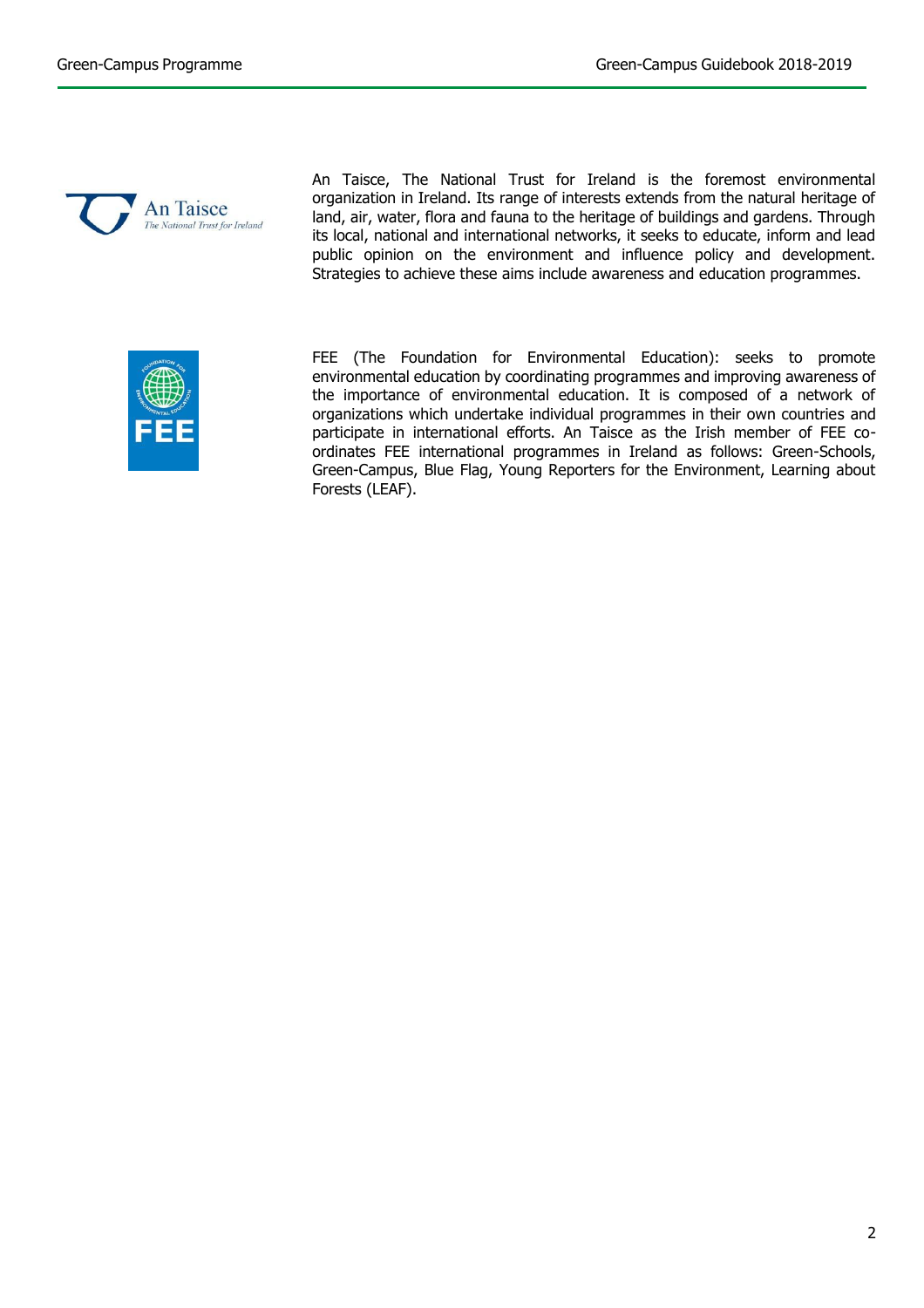

An Taisce, The National Trust for Ireland is the foremost environmental organization in Ireland. Its range of interests extends from the natural heritage of land, air, water, flora and fauna to the heritage of buildings and gardens. Through its local, national and international networks, it seeks to educate, inform and lead public opinion on the environment and influence policy and development. Strategies to achieve these aims include awareness and education programmes.



FEE (The Foundation for Environmental Education): seeks to promote environmental education by coordinating programmes and improving awareness of the importance of environmental education. It is composed of a network of organizations which undertake individual programmes in their own countries and participate in international efforts. An Taisce as the Irish member of FEE coordinates FEE international programmes in Ireland as follows: Green-Schools, Green-Campus, Blue Flag, Young Reporters for the Environment, Learning about Forests (LEAF).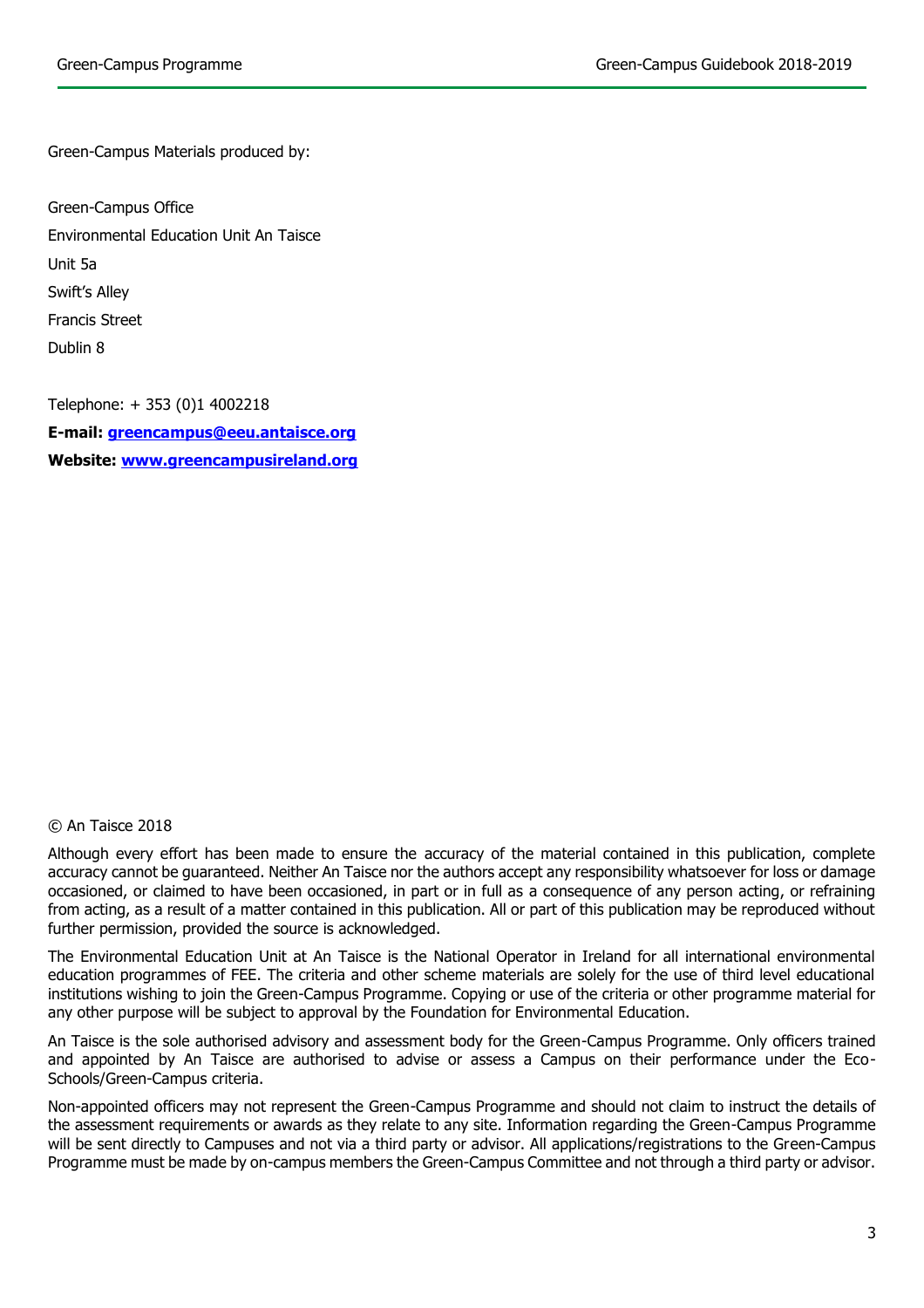Green-Campus Materials produced by:

Green-Campus Office Environmental Education Unit An Taisce Unit 5a Swift's Alley Francis Street Dublin 8

Telephone: + 353 (0)1 4002218 **E-mail: [greencampus@eeu.antaisce.org](mailto:greencampus@eeu.antaisce.org) Website: [www.greencampusireland.org](http://www.greencampusireland.org/)**

### © An Taisce 2018

Although every effort has been made to ensure the accuracy of the material contained in this publication, complete accuracy cannot be guaranteed. Neither An Taisce nor the authors accept any responsibility whatsoever for loss or damage occasioned, or claimed to have been occasioned, in part or in full as a consequence of any person acting, or refraining from acting, as a result of a matter contained in this publication. All or part of this publication may be reproduced without further permission, provided the source is acknowledged.

The Environmental Education Unit at An Taisce is the National Operator in Ireland for all international environmental education programmes of FEE. The criteria and other scheme materials are solely for the use of third level educational institutions wishing to join the Green-Campus Programme. Copying or use of the criteria or other programme material for any other purpose will be subject to approval by the Foundation for Environmental Education.

An Taisce is the sole authorised advisory and assessment body for the Green-Campus Programme. Only officers trained and appointed by An Taisce are authorised to advise or assess a Campus on their performance under the Eco-Schools/Green-Campus criteria.

Non-appointed officers may not represent the Green-Campus Programme and should not claim to instruct the details of the assessment requirements or awards as they relate to any site. Information regarding the Green-Campus Programme will be sent directly to Campuses and not via a third party or advisor. All applications/registrations to the Green-Campus Programme must be made by on-campus members the Green-Campus Committee and not through a third party or advisor.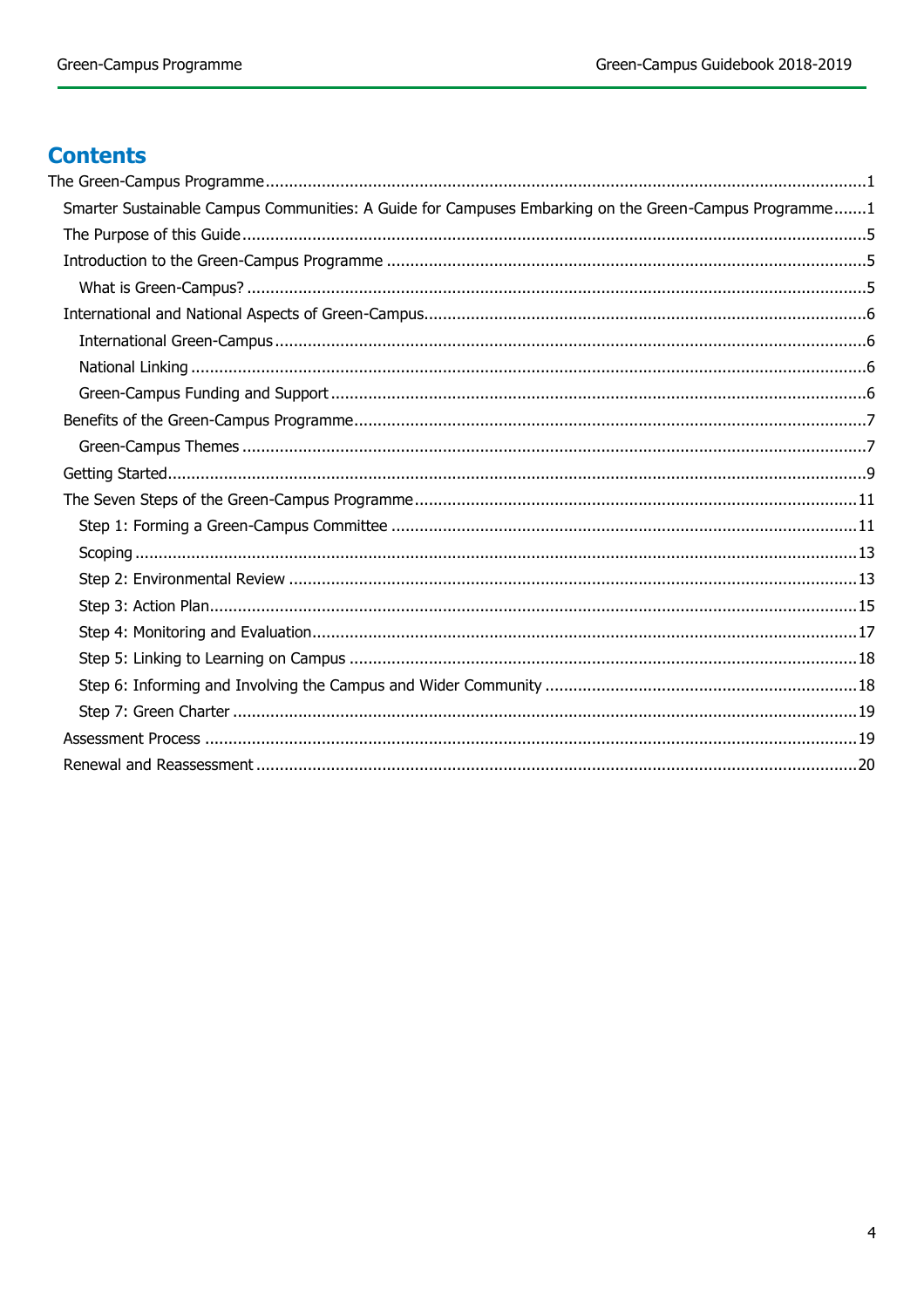# **Contents**

| Smarter Sustainable Campus Communities: A Guide for Campuses Embarking on the Green-Campus Programme1 |  |
|-------------------------------------------------------------------------------------------------------|--|
|                                                                                                       |  |
|                                                                                                       |  |
|                                                                                                       |  |
|                                                                                                       |  |
|                                                                                                       |  |
|                                                                                                       |  |
|                                                                                                       |  |
|                                                                                                       |  |
|                                                                                                       |  |
|                                                                                                       |  |
|                                                                                                       |  |
|                                                                                                       |  |
|                                                                                                       |  |
|                                                                                                       |  |
|                                                                                                       |  |
|                                                                                                       |  |
|                                                                                                       |  |
|                                                                                                       |  |
|                                                                                                       |  |
|                                                                                                       |  |
|                                                                                                       |  |
|                                                                                                       |  |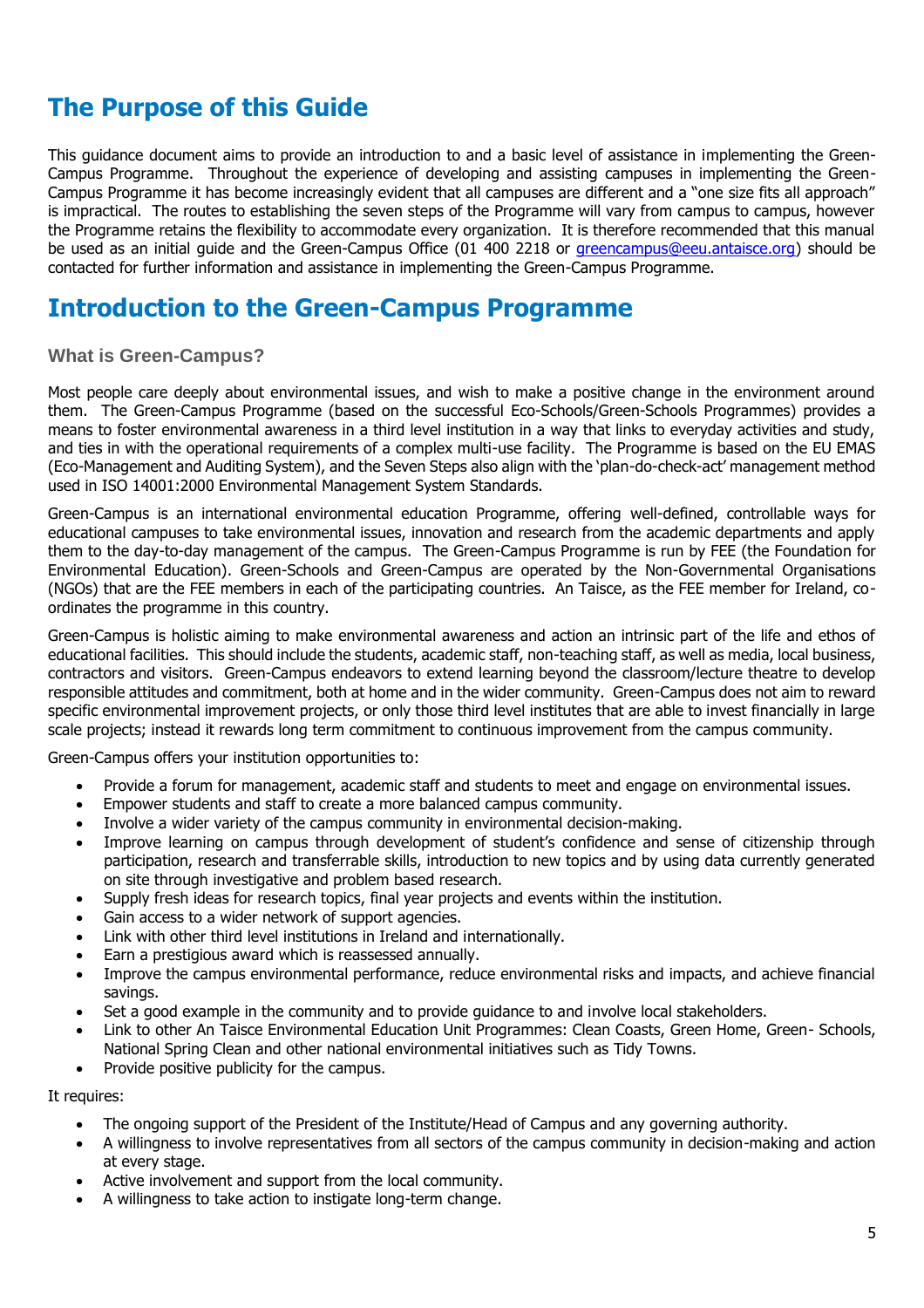# <span id="page-4-0"></span>**The Purpose of this Guide**

This guidance document aims to provide an introduction to and a basic level of assistance in implementing the Green-Campus Programme. Throughout the experience of developing and assisting campuses in implementing the Green-Campus Programme it has become increasingly evident that all campuses are different and a "one size fits all approach" is impractical. The routes to establishing the seven steps of the Programme will vary from campus to campus, however the Programme retains the flexibility to accommodate every organization. It is therefore recommended that this manual be used as an initial guide and the Green-Campus Office (01 400 2218 or [greencampus@eeu.antaisce.org\)](mailto:greencampus@eeu.antaisce.org) should be contacted for further information and assistance in implementing the Green-Campus Programme.

# <span id="page-4-1"></span>**Introduction to the Green-Campus Programme**

## <span id="page-4-2"></span>**What is Green-Campus?**

Most people care deeply about environmental issues, and wish to make a positive change in the environment around them. The Green-Campus Programme (based on the successful Eco-Schools/Green-Schools Programmes) provides a means to foster environmental awareness in a third level institution in a way that links to everyday activities and study, and ties in with the operational requirements of a complex multi-use facility. The Programme is based on the EU EMAS (Eco-Management and Auditing System), and the Seven Steps also align with the 'plan-do-check-act' management method used in ISO 14001:2000 Environmental Management System Standards.

Green-Campus is an international environmental education Programme, offering well-defined, controllable ways for educational campuses to take environmental issues, innovation and research from the academic departments and apply them to the day-to-day management of the campus. The Green-Campus Programme is run by FEE (the Foundation for Environmental Education). Green-Schools and Green-Campus are operated by the Non-Governmental Organisations (NGOs) that are the FEE members in each of the participating countries. An Taisce, as the FEE member for Ireland, coordinates the programme in this country.

Green-Campus is holistic aiming to make environmental awareness and action an intrinsic part of the life and ethos of educational facilities. This should include the students, academic staff, non-teaching staff, as well as media, local business, contractors and visitors. Green-Campus endeavors to extend learning beyond the classroom/lecture theatre to develop responsible attitudes and commitment, both at home and in the wider community. Green-Campus does not aim to reward specific environmental improvement projects, or only those third level institutes that are able to invest financially in large scale projects; instead it rewards long term commitment to continuous improvement from the campus community.

Green-Campus offers your institution opportunities to:

- Provide a forum for management, academic staff and students to meet and engage on environmental issues.
- Empower students and staff to create a more balanced campus community.
- Involve a wider variety of the campus community in environmental decision-making.
- Improve learning on campus through development of student's confidence and sense of citizenship through participation, research and transferrable skills, introduction to new topics and by using data currently generated on site through investigative and problem based research.
- Supply fresh ideas for research topics, final year projects and events within the institution.
- Gain access to a wider network of support agencies.
- Link with other third level institutions in Ireland and internationally.
- Earn a prestigious award which is reassessed annually.
- Improve the campus environmental performance, reduce environmental risks and impacts, and achieve financial savings.
- Set a good example in the community and to provide guidance to and involve local stakeholders.
- Link to other An Taisce Environmental Education Unit Programmes: Clean Coasts, Green Home, Green- Schools, National Spring Clean and other national environmental initiatives such as Tidy Towns.
- Provide positive publicity for the campus.

#### It requires:

- The ongoing support of the President of the Institute/Head of Campus and any governing authority.
- A willingness to involve representatives from all sectors of the campus community in decision-making and action at every stage.
- Active involvement and support from the local community.
- A willingness to take action to instigate long-term change.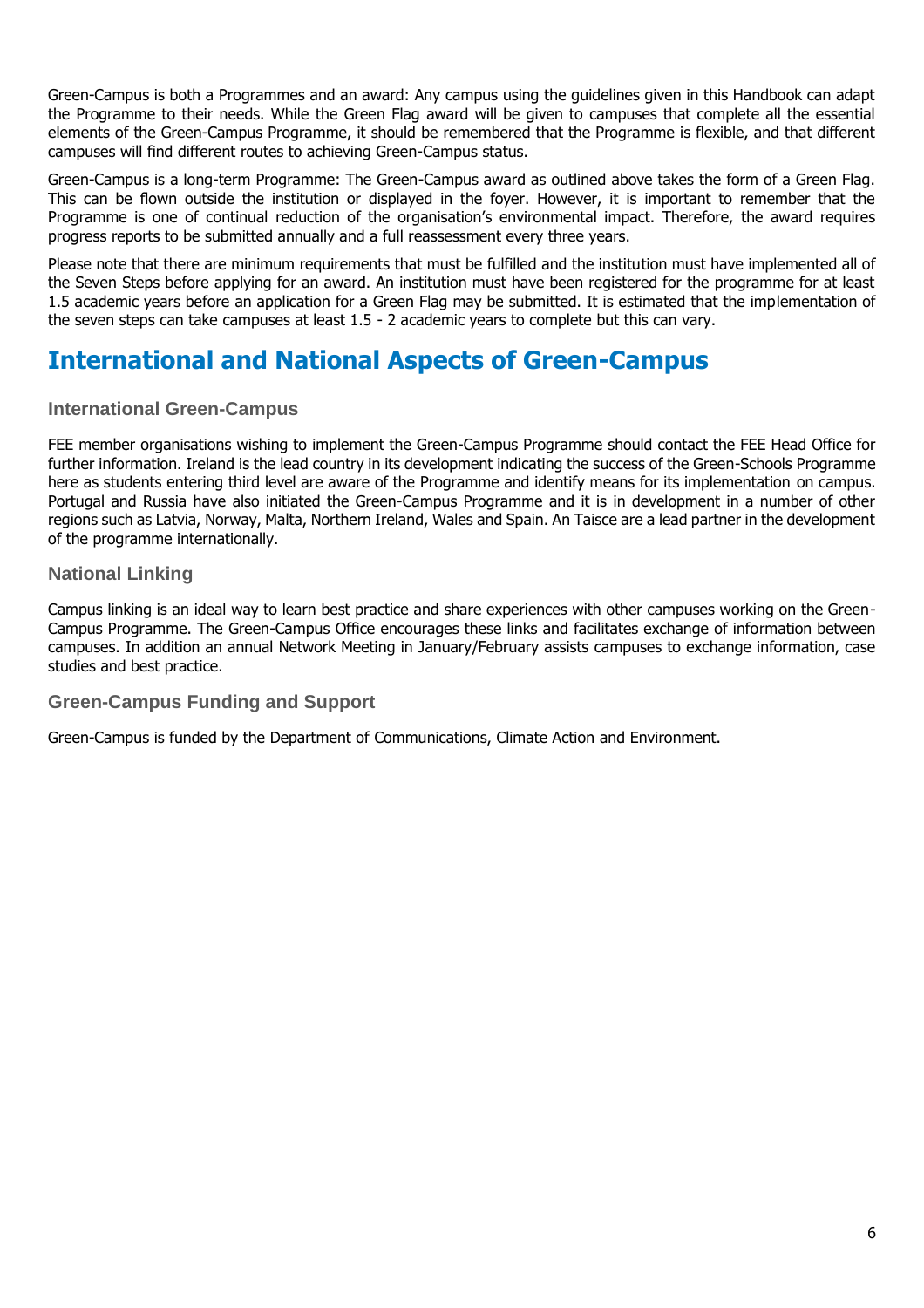Green-Campus is both a Programmes and an award: Any campus using the guidelines given in this Handbook can adapt the Programme to their needs. While the Green Flag award will be given to campuses that complete all the essential elements of the Green-Campus Programme, it should be remembered that the Programme is flexible, and that different campuses will find different routes to achieving Green-Campus status.

Green-Campus is a long-term Programme: The Green-Campus award as outlined above takes the form of a Green Flag. This can be flown outside the institution or displayed in the foyer. However, it is important to remember that the Programme is one of continual reduction of the organisation's environmental impact. Therefore, the award requires progress reports to be submitted annually and a full reassessment every three years.

Please note that there are minimum requirements that must be fulfilled and the institution must have implemented all of the Seven Steps before applying for an award. An institution must have been registered for the programme for at least 1.5 academic years before an application for a Green Flag may be submitted. It is estimated that the implementation of the seven steps can take campuses at least 1.5 - 2 academic years to complete but this can vary.

# <span id="page-5-0"></span>**International and National Aspects of Green-Campus**

## <span id="page-5-1"></span>**International Green-Campus**

FEE member organisations wishing to implement the Green-Campus Programme should contact the FEE Head Office for further information. Ireland is the lead country in its development indicating the success of the Green-Schools Programme here as students entering third level are aware of the Programme and identify means for its implementation on campus. Portugal and Russia have also initiated the Green-Campus Programme and it is in development in a number of other regions such as Latvia, Norway, Malta, Northern Ireland, Wales and Spain. An Taisce are a lead partner in the development of the programme internationally.

## <span id="page-5-2"></span>**National Linking**

Campus linking is an ideal way to learn best practice and share experiences with other campuses working on the Green-Campus Programme. The Green-Campus Office encourages these links and facilitates exchange of information between campuses. In addition an annual Network Meeting in January/February assists campuses to exchange information, case studies and best practice.

## <span id="page-5-3"></span>**Green-Campus Funding and Support**

Green-Campus is funded by the Department of Communications, Climate Action and Environment.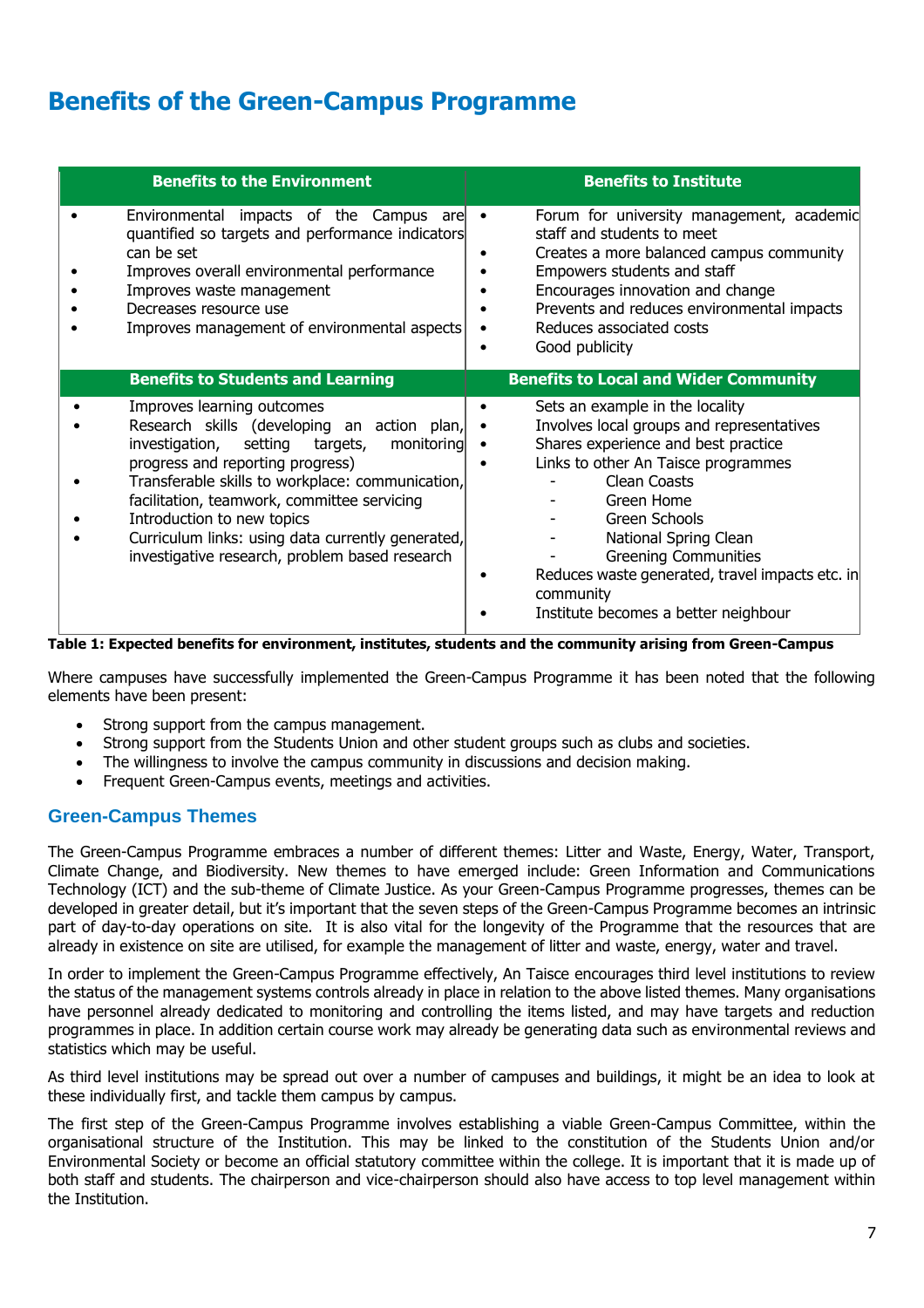# <span id="page-6-0"></span>**Benefits of the Green-Campus Programme**

| <b>Benefits to the Environment</b>                                                                                                                                                                                                                                                                                                                                                                     | <b>Benefits to Institute</b>                                                                                                                                                                                                                                                                                                                                              |
|--------------------------------------------------------------------------------------------------------------------------------------------------------------------------------------------------------------------------------------------------------------------------------------------------------------------------------------------------------------------------------------------------------|---------------------------------------------------------------------------------------------------------------------------------------------------------------------------------------------------------------------------------------------------------------------------------------------------------------------------------------------------------------------------|
| Environmental impacts of the Campus are<br>quantified so targets and performance indicators<br>can be set<br>Improves overall environmental performance<br>Improves waste management<br>Decreases resource use<br>Improves management of environmental aspects                                                                                                                                         | Forum for university management, academic<br>$\bullet$<br>staff and students to meet<br>Creates a more balanced campus community<br>Empowers students and staff<br>Encourages innovation and change<br>Prevents and reduces environmental impacts<br>Reduces associated costs<br>Good publicity                                                                           |
| <b>Benefits to Students and Learning</b>                                                                                                                                                                                                                                                                                                                                                               | <b>Benefits to Local and Wider Community</b>                                                                                                                                                                                                                                                                                                                              |
| Improves learning outcomes<br>Research skills (developing an action plan,<br>investigation, setting targets,<br>monitoring<br>progress and reporting progress)<br>Transferable skills to workplace: communication,<br>facilitation, teamwork, committee servicing<br>Introduction to new topics<br>Curriculum links: using data currently generated,<br>investigative research, problem based research | Sets an example in the locality<br>Involves local groups and representatives<br>Shares experience and best practice<br>Links to other An Taisce programmes<br>Clean Coasts<br>Green Home<br>Green Schools<br>National Spring Clean<br><b>Greening Communities</b><br>Reduces waste generated, travel impacts etc. in<br>community<br>Institute becomes a better neighbour |

#### **Table 1: Expected benefits for environment, institutes, students and the community arising from Green-Campus**

Where campuses have successfully implemented the Green-Campus Programme it has been noted that the following elements have been present:

- Strong support from the campus management.
- Strong support from the Students Union and other student groups such as clubs and societies.
- The willingness to involve the campus community in discussions and decision making.
- Frequent Green-Campus events, meetings and activities.

## <span id="page-6-1"></span>**Green-Campus Themes**

The Green-Campus Programme embraces a number of different themes: Litter and Waste, Energy, Water, Transport, Climate Change, and Biodiversity. New themes to have emerged include: Green Information and Communications Technology (ICT) and the sub-theme of Climate Justice. As your Green-Campus Programme progresses, themes can be developed in greater detail, but it's important that the seven steps of the Green-Campus Programme becomes an intrinsic part of day-to-day operations on site. It is also vital for the longevity of the Programme that the resources that are already in existence on site are utilised, for example the management of litter and waste, energy, water and travel.

In order to implement the Green-Campus Programme effectively, An Taisce encourages third level institutions to review the status of the management systems controls already in place in relation to the above listed themes. Many organisations have personnel already dedicated to monitoring and controlling the items listed, and may have targets and reduction programmes in place. In addition certain course work may already be generating data such as environmental reviews and statistics which may be useful.

As third level institutions may be spread out over a number of campuses and buildings, it might be an idea to look at these individually first, and tackle them campus by campus.

The first step of the Green-Campus Programme involves establishing a viable Green-Campus Committee, within the organisational structure of the Institution. This may be linked to the constitution of the Students Union and/or Environmental Society or become an official statutory committee within the college. It is important that it is made up of both staff and students. The chairperson and vice-chairperson should also have access to top level management within the Institution.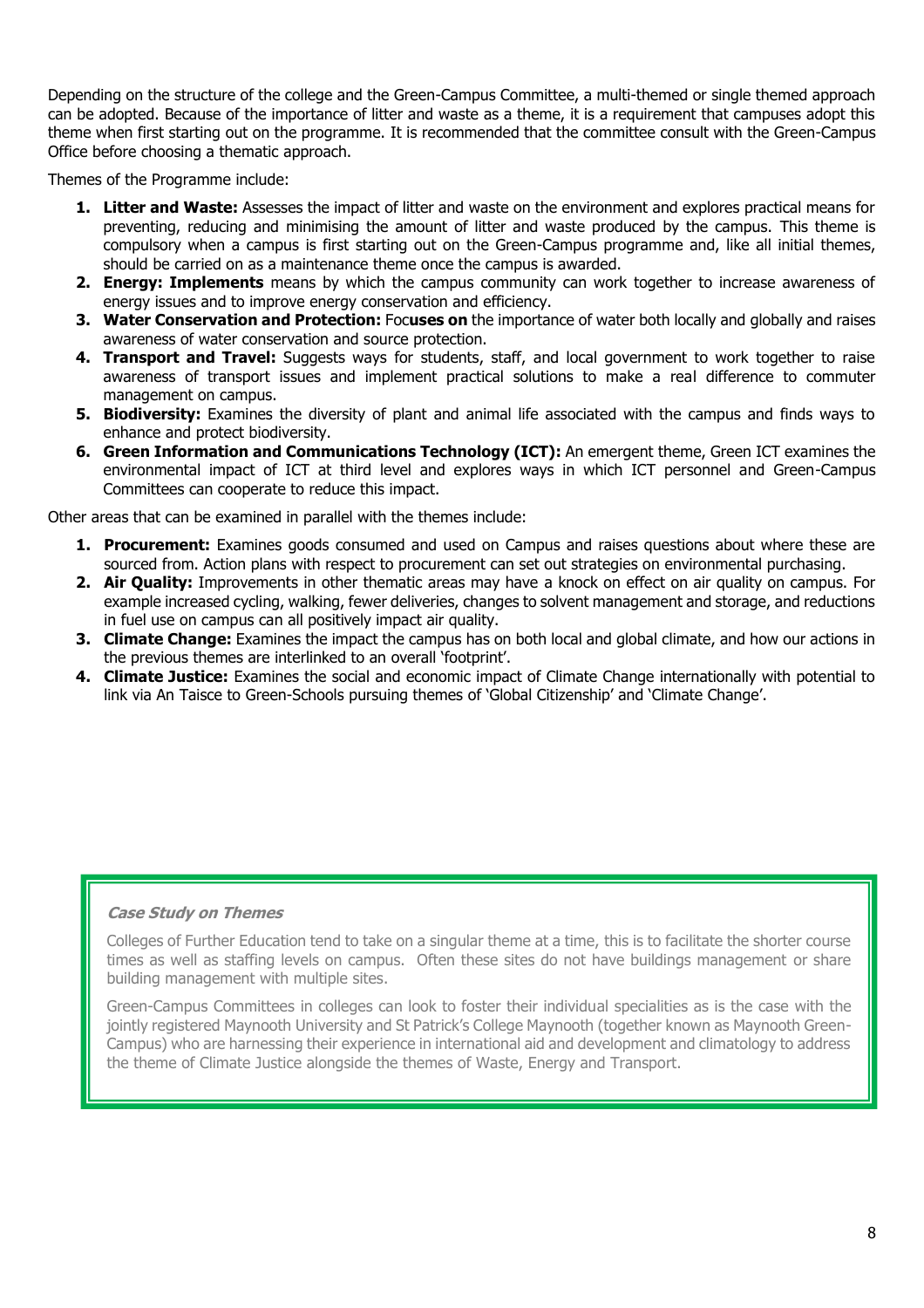Depending on the structure of the college and the Green-Campus Committee, a multi-themed or single themed approach can be adopted. Because of the importance of litter and waste as a theme, it is a requirement that campuses adopt this theme when first starting out on the programme. It is recommended that the committee consult with the Green-Campus Office before choosing a thematic approach.

Themes of the Programme include:

- **1. Litter and Waste:** Assesses the impact of litter and waste on the environment and explores practical means for preventing, reducing and minimising the amount of litter and waste produced by the campus. This theme is compulsory when a campus is first starting out on the Green-Campus programme and, like all initial themes, should be carried on as a maintenance theme once the campus is awarded.
- **2. Energy: Implements** means by which the campus community can work together to increase awareness of energy issues and to improve energy conservation and efficiency.
- **3. Water Conservation and Protection:** Foc**uses on** the importance of water both locally and globally and raises awareness of water conservation and source protection.
- **4. Transport and Travel:** Suggests ways for students, staff, and local government to work together to raise awareness of transport issues and implement practical solutions to make a real difference to commuter management on campus.
- **5. Biodiversity:** Examines the diversity of plant and animal life associated with the campus and finds ways to enhance and protect biodiversity.
- **6. Green Information and Communications Technology (ICT):** An emergent theme, Green ICT examines the environmental impact of ICT at third level and explores ways in which ICT personnel and Green-Campus Committees can cooperate to reduce this impact.

Other areas that can be examined in parallel with the themes include:

- **1. Procurement:** Examines goods consumed and used on Campus and raises questions about where these are sourced from. Action plans with respect to procurement can set out strategies on environmental purchasing.
- **2. Air Quality:** Improvements in other thematic areas may have a knock on effect on air quality on campus. For example increased cycling, walking, fewer deliveries, changes to solvent management and storage, and reductions in fuel use on campus can all positively impact air quality.
- **3. Climate Change:** Examines the impact the campus has on both local and global climate, and how our actions in the previous themes are interlinked to an overall 'footprint'.
- **4. Climate Justice:** Examines the social and economic impact of Climate Change internationally with potential to link via An Taisce to Green-Schools pursuing themes of 'Global Citizenship' and 'Climate Change'.

### **Case Study on Themes**

Colleges of Further Education tend to take on a singular theme at a time, this is to facilitate the shorter course times as well as staffing levels on campus. Often these sites do not have buildings management or share building management with multiple sites.

Green-Campus Committees in colleges can look to foster their individual specialities as is the case with the jointly registered Maynooth University and St Patrick's College Maynooth (together known as Maynooth Green-Campus) who are harnessing their experience in international aid and development and climatology to address the theme of Climate Justice alongside the themes of Waste, Energy and Transport.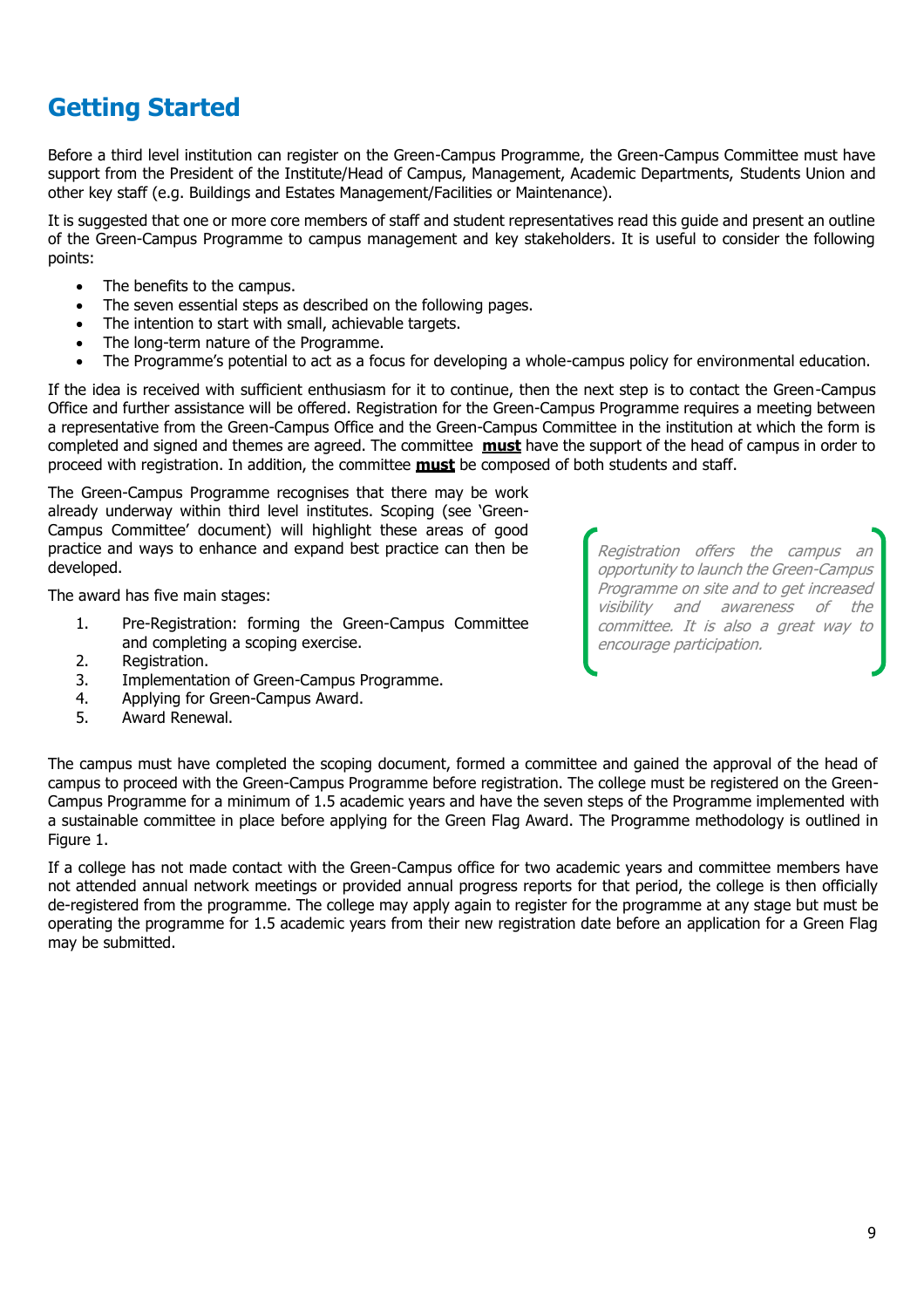# <span id="page-8-0"></span>**Getting Started**

Before a third level institution can register on the Green-Campus Programme, the Green-Campus Committee must have support from the President of the Institute/Head of Campus, Management, Academic Departments, Students Union and other key staff (e.g. Buildings and Estates Management/Facilities or Maintenance).

It is suggested that one or more core members of staff and student representatives read this guide and present an outline of the Green-Campus Programme to campus management and key stakeholders. It is useful to consider the following points:

- The benefits to the campus.
- The seven essential steps as described on the following pages.
- The intention to start with small, achievable targets.
- The long-term nature of the Programme.
- The Programme's potential to act as a focus for developing a whole-campus policy for environmental education.

If the idea is received with sufficient enthusiasm for it to continue, then the next step is to contact the Green-Campus Office and further assistance will be offered. Registration for the Green-Campus Programme requires a meeting between a representative from the Green-Campus Office and the Green-Campus Committee in the institution at which the form is completed and signed and themes are agreed. The committee **must** have the support of the head of campus in order to proceed with registration. In addition, the committee **must** be composed of both students and staff.

The Green-Campus Programme recognises that there may be work already underway within third level institutes. Scoping (see 'Green-Campus Committee' document) will highlight these areas of good practice and ways to enhance and expand best practice can then be developed.

The award has five main stages:

- 1. Pre-Registration: forming the Green-Campus Committee and completing a scoping exercise.
- 2. Registration.
- 3. Implementation of Green-Campus Programme.
- 4. Applying for Green-Campus Award.
- 5. Award Renewal.

Registration offers the campus an opportunity to launch the Green-Campus Programme on site and to get increased visibility and awareness of the committee. It is also a great way to encourage participation.

The campus must have completed the scoping document, formed a committee and gained the approval of the head of campus to proceed with the Green-Campus Programme before registration. The college must be registered on the Green-Campus Programme for a minimum of 1.5 academic years and have the seven steps of the Programme implemented with a sustainable committee in place before applying for the Green Flag Award. The Programme methodology is outlined in Figure 1.

If a college has not made contact with the Green-Campus office for two academic years and committee members have not attended annual network meetings or provided annual progress reports for that period, the college is then officially de-registered from the programme. The college may apply again to register for the programme at any stage but must be operating the programme for 1.5 academic years from their new registration date before an application for a Green Flag may be submitted.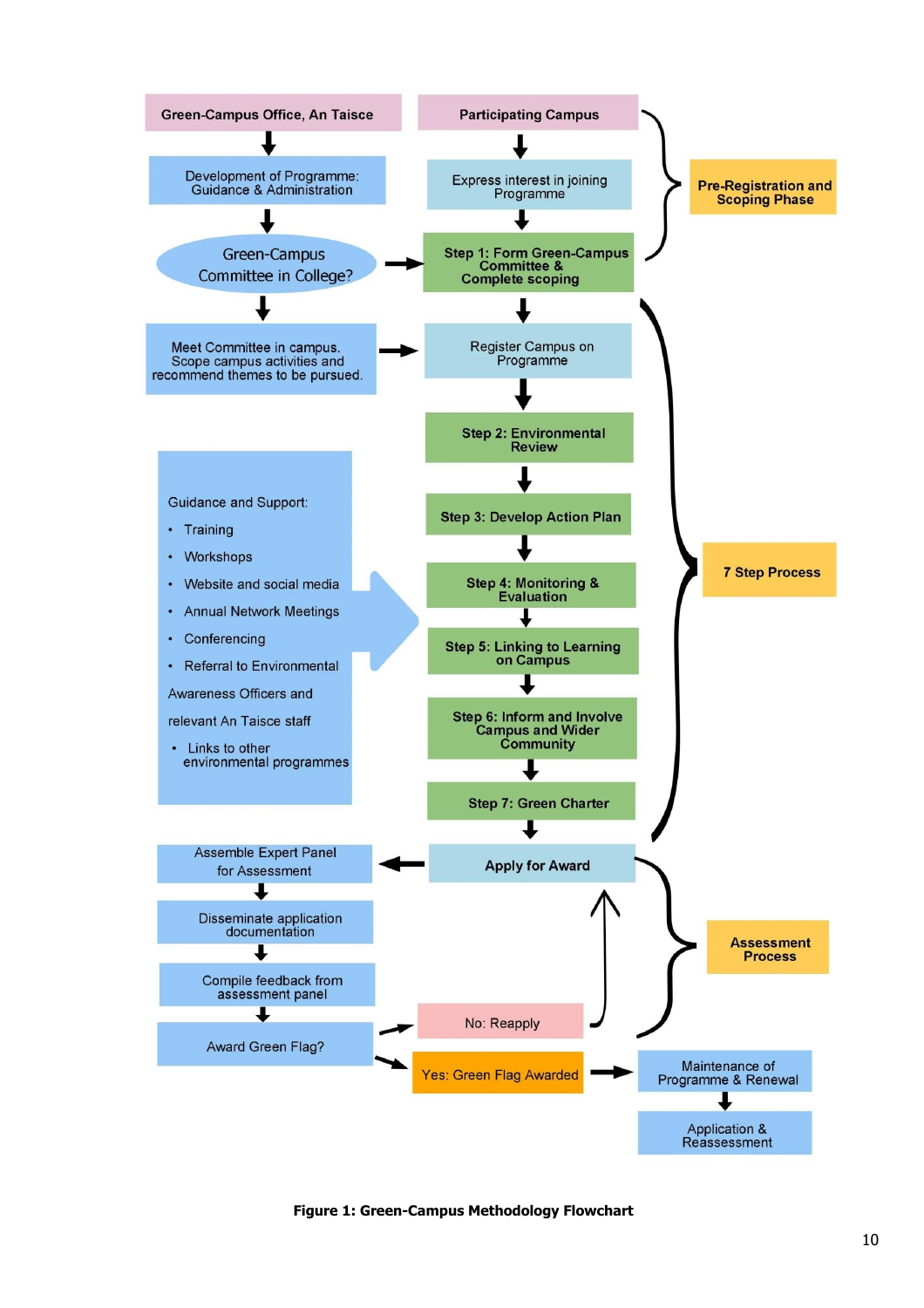

**Figure 1: Green-Campus Methodology Flowchart**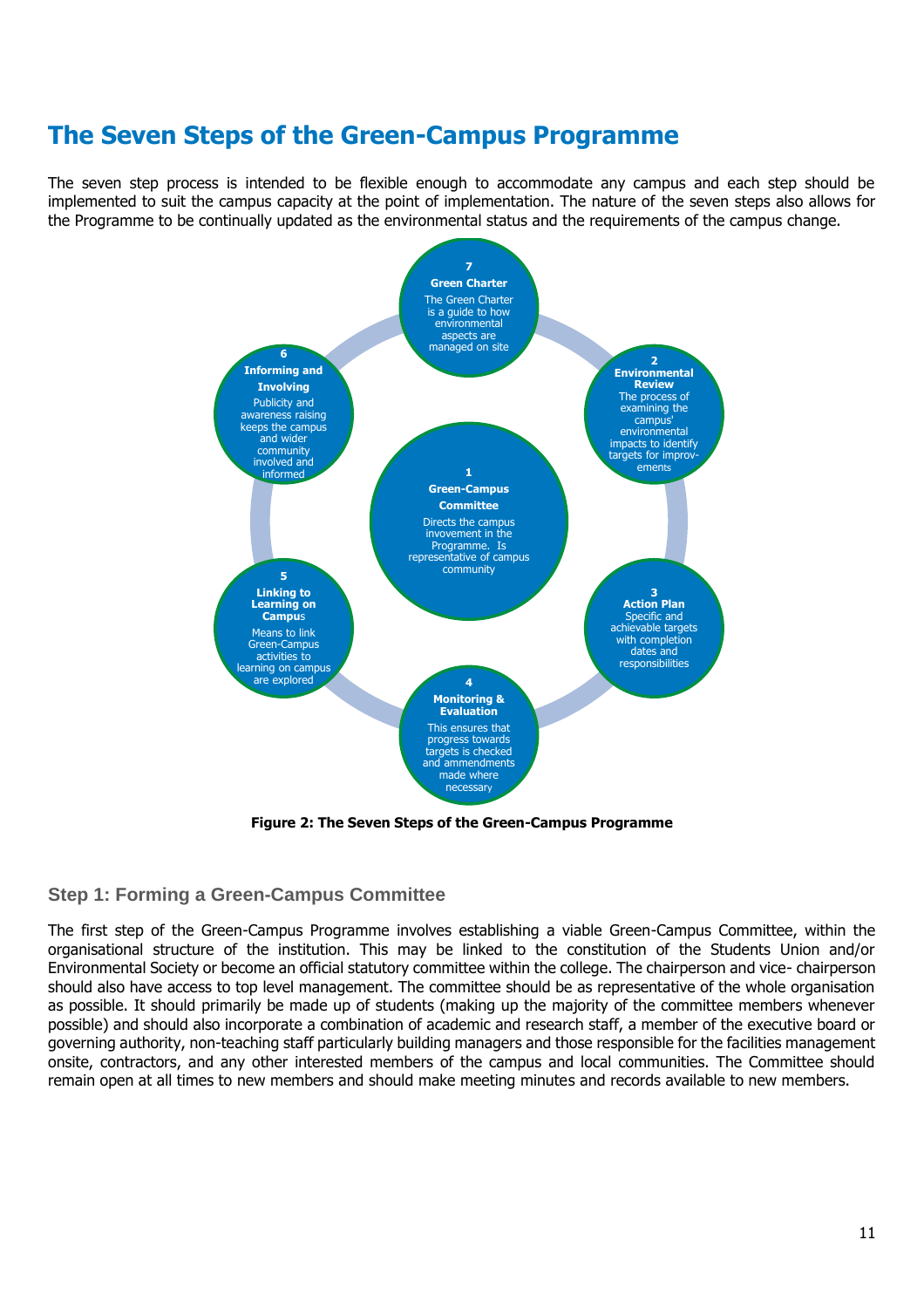# <span id="page-10-0"></span>**The Seven Steps of the Green-Campus Programme**

The seven step process is intended to be flexible enough to accommodate any campus and each step should be implemented to suit the campus capacity at the point of implementation. The nature of the seven steps also allows for the Programme to be continually updated as the environmental status and the requirements of the campus change.



**Figure 2: The Seven Steps of the Green-Campus Programme**

# <span id="page-10-1"></span>**Step 1: Forming a Green-Campus Committee**

The first step of the Green-Campus Programme involves establishing a viable Green-Campus Committee, within the organisational structure of the institution. This may be linked to the constitution of the Students Union and/or Environmental Society or become an official statutory committee within the college. The chairperson and vice- chairperson should also have access to top level management. The committee should be as representative of the whole organisation as possible. It should primarily be made up of students (making up the majority of the committee members whenever possible) and should also incorporate a combination of academic and research staff, a member of the executive board or governing authority, non-teaching staff particularly building managers and those responsible for the facilities management onsite, contractors, and any other interested members of the campus and local communities. The Committee should remain open at all times to new members and should make meeting minutes and records available to new members.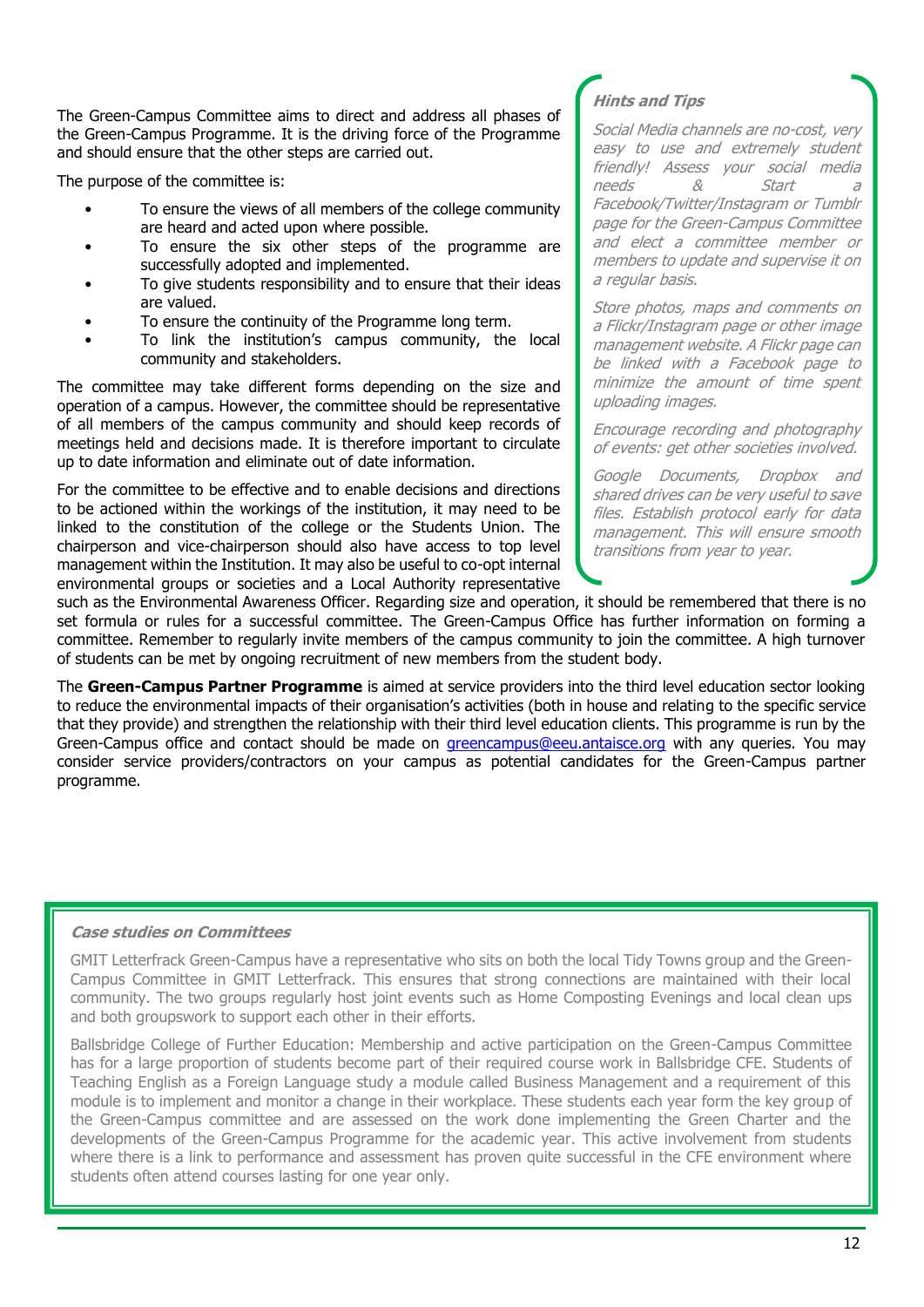The Green-Campus Committee aims to direct and address all phases of the Green-Campus Programme. It is the driving force of the Programme and should ensure that the other steps are carried out.

The purpose of the committee is:

- To ensure the views of all members of the college community are heard and acted upon where possible.
- To ensure the six other steps of the programme are successfully adopted and implemented.
- To give students responsibility and to ensure that their ideas are valued.
- To ensure the continuity of the Programme long term.
- To link the institution's campus community, the local community and stakeholders.

The committee may take different forms depending on the size and operation of a campus. However, the committee should be representative of all members of the campus community and should keep records of meetings held and decisions made. It is therefore important to circulate up to date information and eliminate out of date information.

For the committee to be effective and to enable decisions and directions to be actioned within the workings of the institution, it may need to be linked to the constitution of the college or the Students Union. The chairperson and vice-chairperson should also have access to top level management within the Institution. It may also be useful to co-opt internal environmental groups or societies and a Local Authority representative

# **Hints and Tips**

Social Media channels are no-cost, very easy to use and extremely student friendly! Assess your social media needs & Start a Facebook/Twitter/Instagram or Tumblr page for the Green-Campus Committee and elect a committee member or members to update and supervise it on a regular basis.

Store photos, maps and comments on a Flickr/Instagram page or other image management website. A Flickr page can be linked with a Facebook page to minimize the amount of time spent uploading images.

Encourage recording and photography of events: get other societies involved.

Google Documents, Dropbox and shared drives can be very useful to save files. Establish protocol early for data management. This will ensure smooth transitions from year to year.

such as the Environmental Awareness Officer. Regarding size and operation, it should be remembered that there is no set formula or rules for a successful committee. The Green-Campus Office has further information on forming a committee. Remember to regularly invite members of the campus community to join the committee. A high turnover of students can be met by ongoing recruitment of new members from the student body.

The **Green-Campus Partner Programme** is aimed at service providers into the third level education sector looking to reduce the environmental impacts of their organisation's activities (both in house and relating to the specific service that they provide) and strengthen the relationship with their third level education clients. This programme is run by the Green-Campus office and contact should be made on *greencampus@eeu.antaisce.org* with any queries. You may consider service providers/contractors on your campus as potential candidates for the Green-Campus partner programme.

## **Case studies on Committees**

GMIT Letterfrack Green-Campus have a representative who sits on both the local Tidy Towns group and the Green-Campus Committee in GMIT Letterfrack. This ensures that strong connections are maintained with their local community. The two groups regularly host joint events such as Home Composting Evenings and local clean ups and both groupswork to support each other in their efforts.

Ballsbridge College of Further Education: Membership and active participation on the Green-Campus Committee has for a large proportion of students become part of their required course work in Ballsbridge CFE. Students of Teaching English as a Foreign Language study a module called Business Management and a requirement of this module is to implement and monitor a change in their workplace. These students each year form the key group of the Green-Campus committee and are assessed on the work done implementing the Green Charter and the developments of the Green-Campus Programme for the academic year. This active involvement from students where there is a link to performance and assessment has proven quite successful in the CFE environment where students often attend courses lasting for one year only.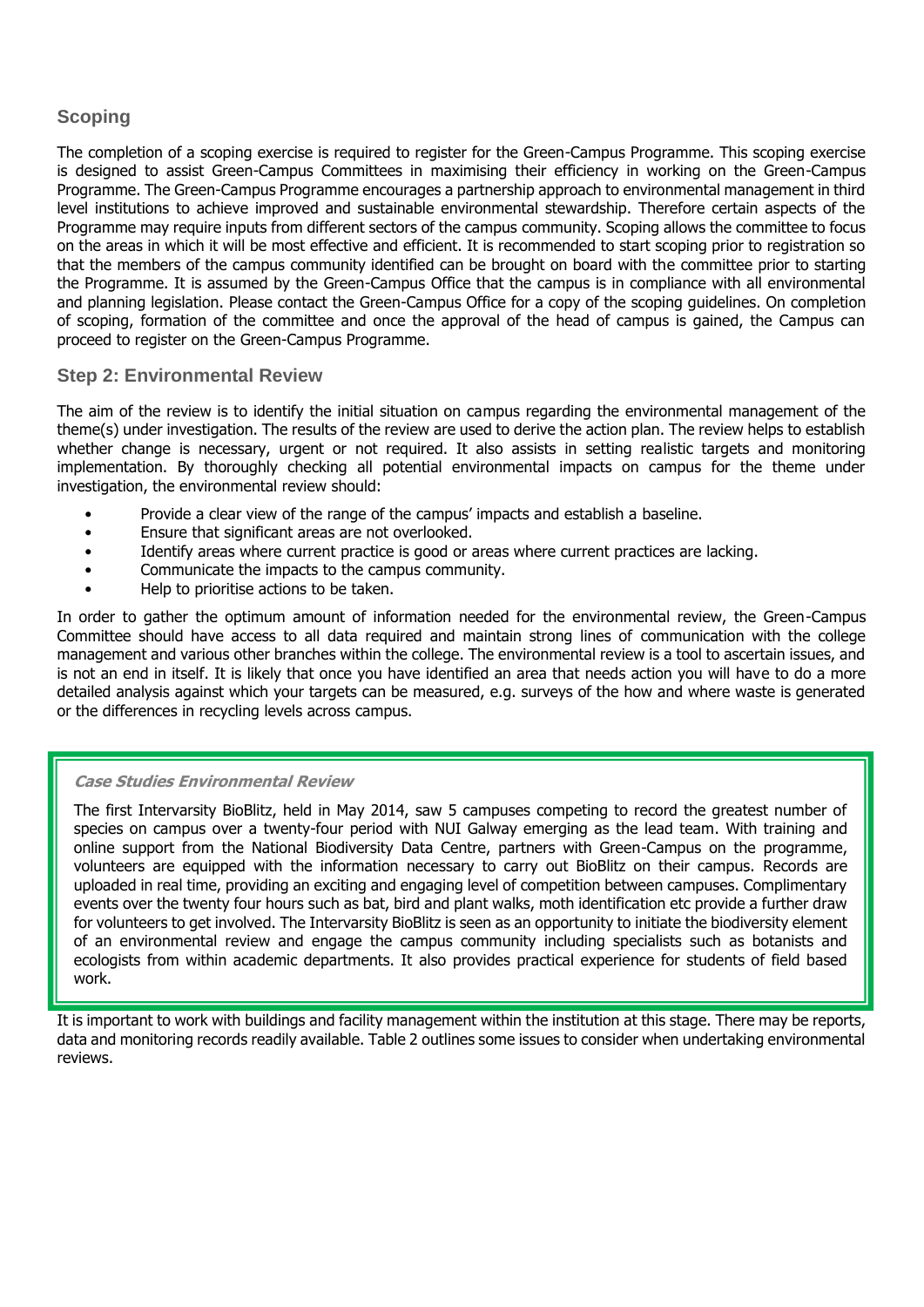# <span id="page-12-0"></span>**Scoping**

The completion of a scoping exercise is required to register for the Green-Campus Programme. This scoping exercise is designed to assist Green-Campus Committees in maximising their efficiency in working on the Green-Campus Programme. The Green-Campus Programme encourages a partnership approach to environmental management in third level institutions to achieve improved and sustainable environmental stewardship. Therefore certain aspects of the Programme may require inputs from different sectors of the campus community. Scoping allows the committee to focus on the areas in which it will be most effective and efficient. It is recommended to start scoping prior to registration so that the members of the campus community identified can be brought on board with the committee prior to starting the Programme. It is assumed by the Green-Campus Office that the campus is in compliance with all environmental and planning legislation. Please contact the Green-Campus Office for a copy of the scoping guidelines. On completion of scoping, formation of the committee and once the approval of the head of campus is gained, the Campus can proceed to register on the Green-Campus Programme.

### <span id="page-12-1"></span>**Step 2: Environmental Review**

The aim of the review is to identify the initial situation on campus regarding the environmental management of the theme(s) under investigation. The results of the review are used to derive the action plan. The review helps to establish whether change is necessary, urgent or not required. It also assists in setting realistic targets and monitoring implementation. By thoroughly checking all potential environmental impacts on campus for the theme under investigation, the environmental review should:

- Provide a clear view of the range of the campus' impacts and establish a baseline.
- Ensure that significant areas are not overlooked.
- Identify areas where current practice is good or areas where current practices are lacking.
- Communicate the impacts to the campus community.
- Help to prioritise actions to be taken.

In order to gather the optimum amount of information needed for the environmental review, the Green-Campus Committee should have access to all data required and maintain strong lines of communication with the college management and various other branches within the college. The environmental review is a tool to ascertain issues, and is not an end in itself. It is likely that once you have identified an area that needs action you will have to do a more detailed analysis against which your targets can be measured, e.g. surveys of the how and where waste is generated or the differences in recycling levels across campus.

#### **Case Studies Environmental Review**

The first Intervarsity BioBlitz, held in May 2014, saw 5 campuses competing to record the greatest number of species on campus over a twenty-four period with NUI Galway emerging as the lead team. With training and online support from the National Biodiversity Data Centre, partners with Green-Campus on the programme, volunteers are equipped with the information necessary to carry out BioBlitz on their campus. Records are uploaded in real time, providing an exciting and engaging level of competition between campuses. Complimentary events over the twenty four hours such as bat, bird and plant walks, moth identification etc provide a further draw for volunteers to get involved. The Intervarsity BioBlitz is seen as an opportunity to initiate the biodiversity element of an environmental review and engage the campus community including specialists such as botanists and ecologists from within academic departments. It also provides practical experience for students of field based work.

It is important to work with buildings and facility management within the institution at this stage. There may be reports, data and monitoring records readily available. Table 2 outlines some issues to consider when undertaking environmental reviews.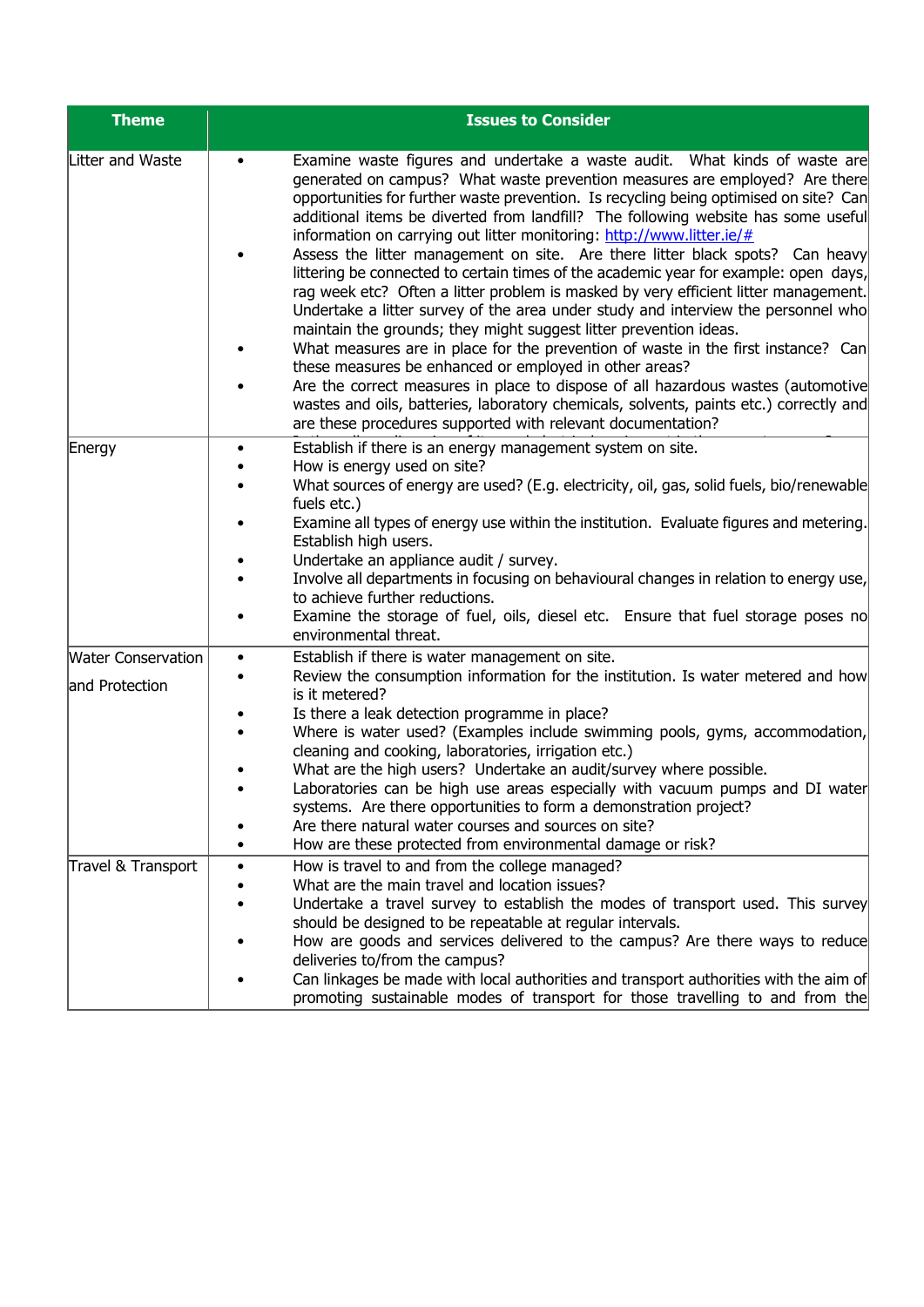| <b>Theme</b>                                | <b>Issues to Consider</b>                                                                                                                                                                                                                                                                                                                                                                                                                                                                                                                                                                                                                                                                                                                                                                                                                                                                                                                                                                                                                                                                                                                                                                                                              |  |  |
|---------------------------------------------|----------------------------------------------------------------------------------------------------------------------------------------------------------------------------------------------------------------------------------------------------------------------------------------------------------------------------------------------------------------------------------------------------------------------------------------------------------------------------------------------------------------------------------------------------------------------------------------------------------------------------------------------------------------------------------------------------------------------------------------------------------------------------------------------------------------------------------------------------------------------------------------------------------------------------------------------------------------------------------------------------------------------------------------------------------------------------------------------------------------------------------------------------------------------------------------------------------------------------------------|--|--|
| Litter and Waste                            | Examine waste figures and undertake a waste audit. What kinds of waste are<br>generated on campus? What waste prevention measures are employed? Are there<br>opportunities for further waste prevention. Is recycling being optimised on site? Can<br>additional items be diverted from landfill? The following website has some useful<br>information on carrying out litter monitoring: http://www.litter.ie/#<br>Assess the litter management on site. Are there litter black spots? Can heavy<br>littering be connected to certain times of the academic year for example: open days,<br>rag week etc? Often a litter problem is masked by very efficient litter management.<br>Undertake a litter survey of the area under study and interview the personnel who<br>maintain the grounds; they might suggest litter prevention ideas.<br>What measures are in place for the prevention of waste in the first instance? Can<br>these measures be enhanced or employed in other areas?<br>Are the correct measures in place to dispose of all hazardous wastes (automotive<br>wastes and oils, batteries, laboratory chemicals, solvents, paints etc.) correctly and<br>are these procedures supported with relevant documentation? |  |  |
| Energy                                      | Establish if there is an energy management system on site.<br>How is energy used on site?<br>What sources of energy are used? (E.g. electricity, oil, gas, solid fuels, bio/renewable<br>fuels etc.)<br>Examine all types of energy use within the institution. Evaluate figures and metering.<br>Establish high users.<br>Undertake an appliance audit / survey.<br>Involve all departments in focusing on behavioural changes in relation to energy use,<br>to achieve further reductions.<br>Examine the storage of fuel, oils, diesel etc. Ensure that fuel storage poses no<br>environmental threat.                                                                                                                                                                                                                                                                                                                                                                                                                                                                                                                                                                                                                              |  |  |
| <b>Water Conservation</b><br>and Protection | Establish if there is water management on site.<br>$\bullet$<br>Review the consumption information for the institution. Is water metered and how<br>is it metered?<br>Is there a leak detection programme in place?<br>Where is water used? (Examples include swimming pools, gyms, accommodation,<br>cleaning and cooking, laboratories, irrigation etc.)<br>What are the high users? Undertake an audit/survey where possible.<br>Laboratories can be high use areas especially with vacuum pumps and DI water<br>systems. Are there opportunities to form a demonstration project?<br>Are there natural water courses and sources on site?<br>How are these protected from environmental damage or risk?                                                                                                                                                                                                                                                                                                                                                                                                                                                                                                                            |  |  |
| Travel & Transport                          | How is travel to and from the college managed?<br>What are the main travel and location issues?<br>Undertake a travel survey to establish the modes of transport used. This survey<br>should be designed to be repeatable at regular intervals.<br>How are goods and services delivered to the campus? Are there ways to reduce<br>deliveries to/from the campus?<br>Can linkages be made with local authorities and transport authorities with the aim of<br>promoting sustainable modes of transport for those travelling to and from the                                                                                                                                                                                                                                                                                                                                                                                                                                                                                                                                                                                                                                                                                            |  |  |

campus for staff and students?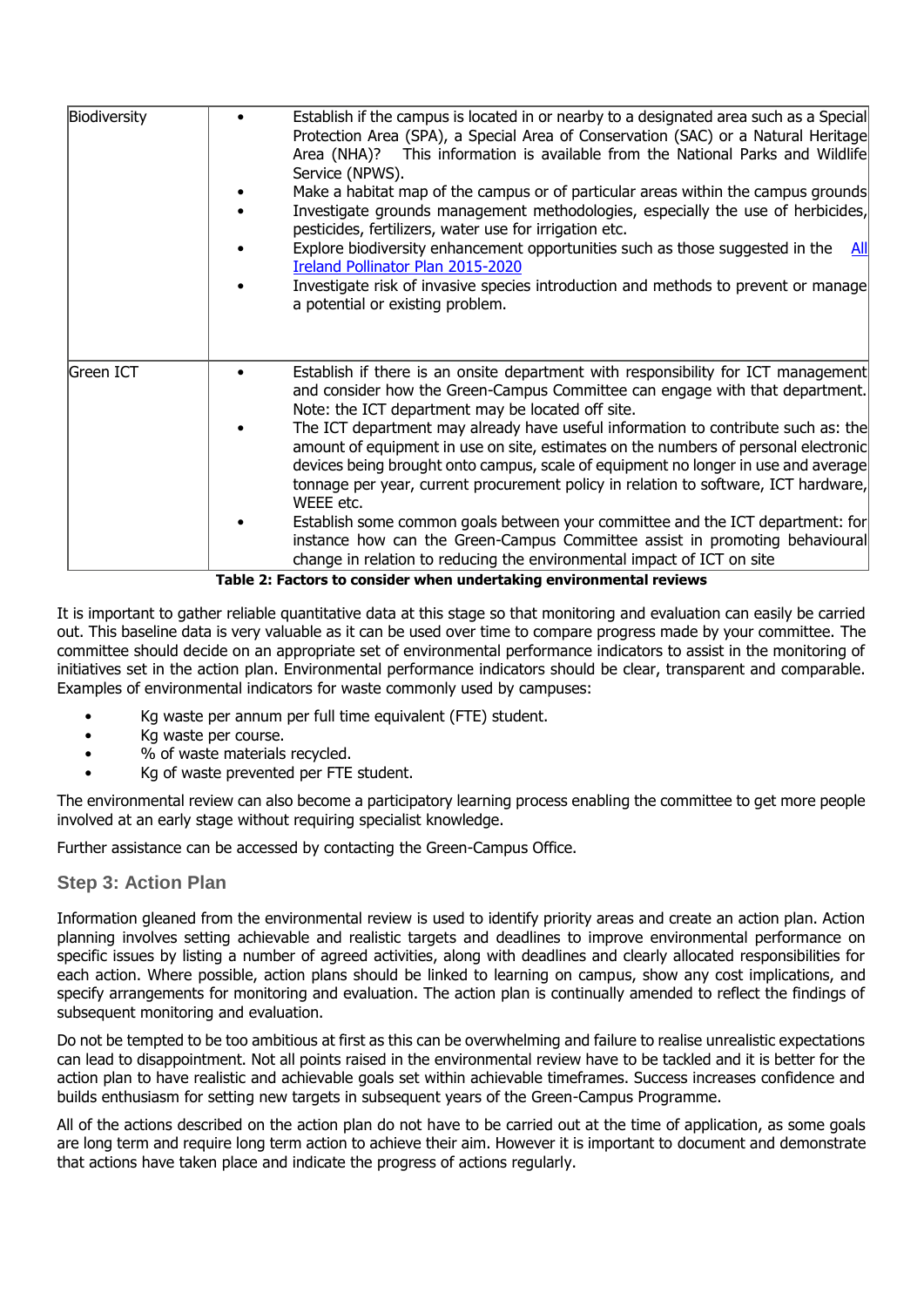| Biodiversity | Establish if the campus is located in or nearby to a designated area such as a Special<br>Protection Area (SPA), a Special Area of Conservation (SAC) or a Natural Heritage<br>Area (NHA)? This information is available from the National Parks and Wildlife<br>Service (NPWS).<br>Make a habitat map of the campus or of particular areas within the campus grounds<br>Investigate grounds management methodologies, especially the use of herbicides,<br>pesticides, fertilizers, water use for irrigation etc.<br>Explore biodiversity enhancement opportunities such as those suggested in the<br><b>All</b><br>Ireland Pollinator Plan 2015-2020<br>Investigate risk of invasive species introduction and methods to prevent or manage<br>a potential or existing problem.                                                        |
|--------------|-----------------------------------------------------------------------------------------------------------------------------------------------------------------------------------------------------------------------------------------------------------------------------------------------------------------------------------------------------------------------------------------------------------------------------------------------------------------------------------------------------------------------------------------------------------------------------------------------------------------------------------------------------------------------------------------------------------------------------------------------------------------------------------------------------------------------------------------|
| Green ICT    | Establish if there is an onsite department with responsibility for ICT management<br>and consider how the Green-Campus Committee can engage with that department.<br>Note: the ICT department may be located off site.<br>The ICT department may already have useful information to contribute such as: the<br>amount of equipment in use on site, estimates on the numbers of personal electronic<br>devices being brought onto campus, scale of equipment no longer in use and average<br>tonnage per year, current procurement policy in relation to software, ICT hardware,<br>WEEE etc.<br>Establish some common goals between your committee and the ICT department: for<br>instance how can the Green-Campus Committee assist in promoting behavioural<br>change in relation to reducing the environmental impact of ICT on site |

**Table 2: Factors to consider when undertaking environmental reviews**

It is important to gather reliable quantitative data at this stage so that monitoring and evaluation can easily be carried out. This baseline data is very valuable as it can be used over time to compare progress made by your committee. The committee should decide on an appropriate set of environmental performance indicators to assist in the monitoring of initiatives set in the action plan. Environmental performance indicators should be clear, transparent and comparable. Examples of environmental indicators for waste commonly used by campuses:

- Kg waste per annum per full time equivalent (FTE) student.
- Kg waste per course.
- % of waste materials recycled.
- Kg of waste prevented per FTE student.

The environmental review can also become a participatory learning process enabling the committee to get more people involved at an early stage without requiring specialist knowledge.

Further assistance can be accessed by contacting the Green-Campus Office.

## <span id="page-14-0"></span>**Step 3: Action Plan**

Information gleaned from the environmental review is used to identify priority areas and create an action plan. Action planning involves setting achievable and realistic targets and deadlines to improve environmental performance on specific issues by listing a number of agreed activities, along with deadlines and clearly allocated responsibilities for each action. Where possible, action plans should be linked to learning on campus, show any cost implications, and specify arrangements for monitoring and evaluation. The action plan is continually amended to reflect the findings of subsequent monitoring and evaluation.

Do not be tempted to be too ambitious at first as this can be overwhelming and failure to realise unrealistic expectations can lead to disappointment. Not all points raised in the environmental review have to be tackled and it is better for the action plan to have realistic and achievable goals set within achievable timeframes. Success increases confidence and builds enthusiasm for setting new targets in subsequent years of the Green-Campus Programme.

All of the actions described on the action plan do not have to be carried out at the time of application, as some goals are long term and require long term action to achieve their aim. However it is important to document and demonstrate that actions have taken place and indicate the progress of actions regularly.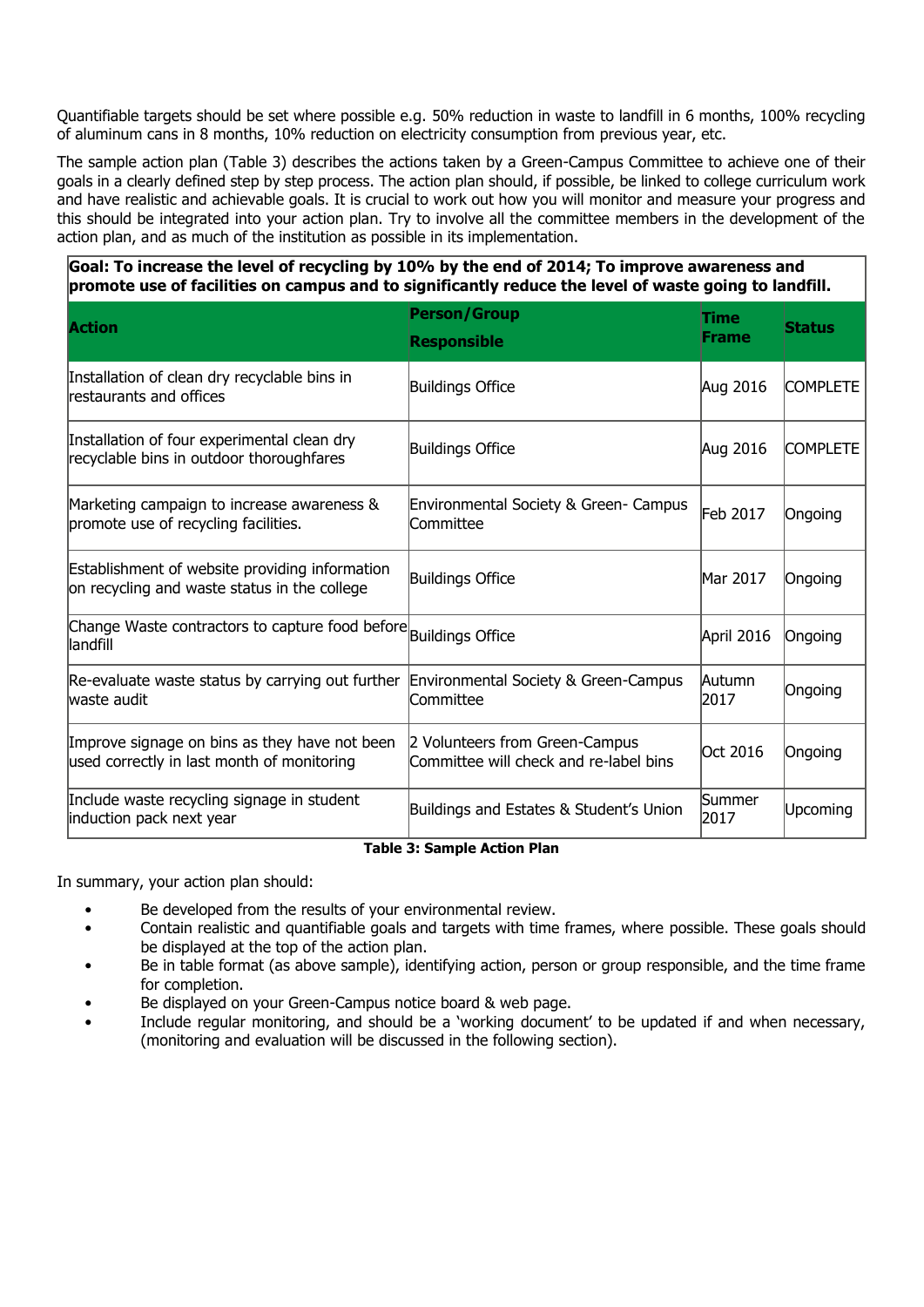Quantifiable targets should be set where possible e.g. 50% reduction in waste to landfill in 6 months, 100% recycling of aluminum cans in 8 months, 10% reduction on electricity consumption from previous year, etc.

The sample action plan (Table 3) describes the actions taken by a Green-Campus Committee to achieve one of their goals in a clearly defined step by step process. The action plan should, if possible, be linked to college curriculum work and have realistic and achievable goals. It is crucial to work out how you will monitor and measure your progress and this should be integrated into your action plan. Try to involve all the committee members in the development of the action plan, and as much of the institution as possible in its implementation.

**Goal: To increase the level of recycling by 10% by the end of 2014; To improve awareness and promote use of facilities on campus and to significantly reduce the level of waste going to landfill.**

| <b>Action</b>                                                                                  | <b>Person/Group</b><br><b>Responsible</b>                                | <b>Time</b><br><b>Frame</b> | <b>Status</b>   |
|------------------------------------------------------------------------------------------------|--------------------------------------------------------------------------|-----------------------------|-----------------|
| Installation of clean dry recyclable bins in<br>restaurants and offices                        | <b>Buildings Office</b>                                                  | Aug 2016                    | <b>COMPLETE</b> |
| Installation of four experimental clean dry<br>recyclable bins in outdoor thoroughfares        | <b>Buildings Office</b>                                                  | Aug 2016                    | <b>COMPLETE</b> |
| Marketing campaign to increase awareness &<br>promote use of recycling facilities.             | Environmental Society & Green- Campus<br>Committee                       | Feb 2017                    | Ongoing         |
| Establishment of website providing information<br>on recycling and waste status in the college | <b>Buildings Office</b>                                                  | Mar 2017                    | Ongoing         |
| Change Waste contractors to capture food before Buildings Office<br>llandfill                  |                                                                          | April 2016                  | Ongoing         |
| Re-evaluate waste status by carrying out further<br>lwaste audit                               | Environmental Society & Green-Campus<br>Committee                        | Autumn<br>2017              | Ongoing         |
| Improve signage on bins as they have not been<br>used correctly in last month of monitoring    | 2 Volunteers from Green-Campus<br>Committee will check and re-label bins | <b>Oct 2016</b>             | Ongoing         |
| Include waste recycling signage in student<br>induction pack next year                         | Buildings and Estates & Student's Union                                  | Summer<br>2017              | Upcoming        |

**Table 3: Sample Action Plan**

In summary, your action plan should:

- Be developed from the results of your environmental review.
- Contain realistic and quantifiable goals and targets with time frames, where possible. These goals should be displayed at the top of the action plan.
- Be in table format (as above sample), identifying action, person or group responsible, and the time frame for completion.
- Be displayed on your Green-Campus notice board & web page.
- Include regular monitoring, and should be a 'working document' to be updated if and when necessary, (monitoring and evaluation will be discussed in the following section).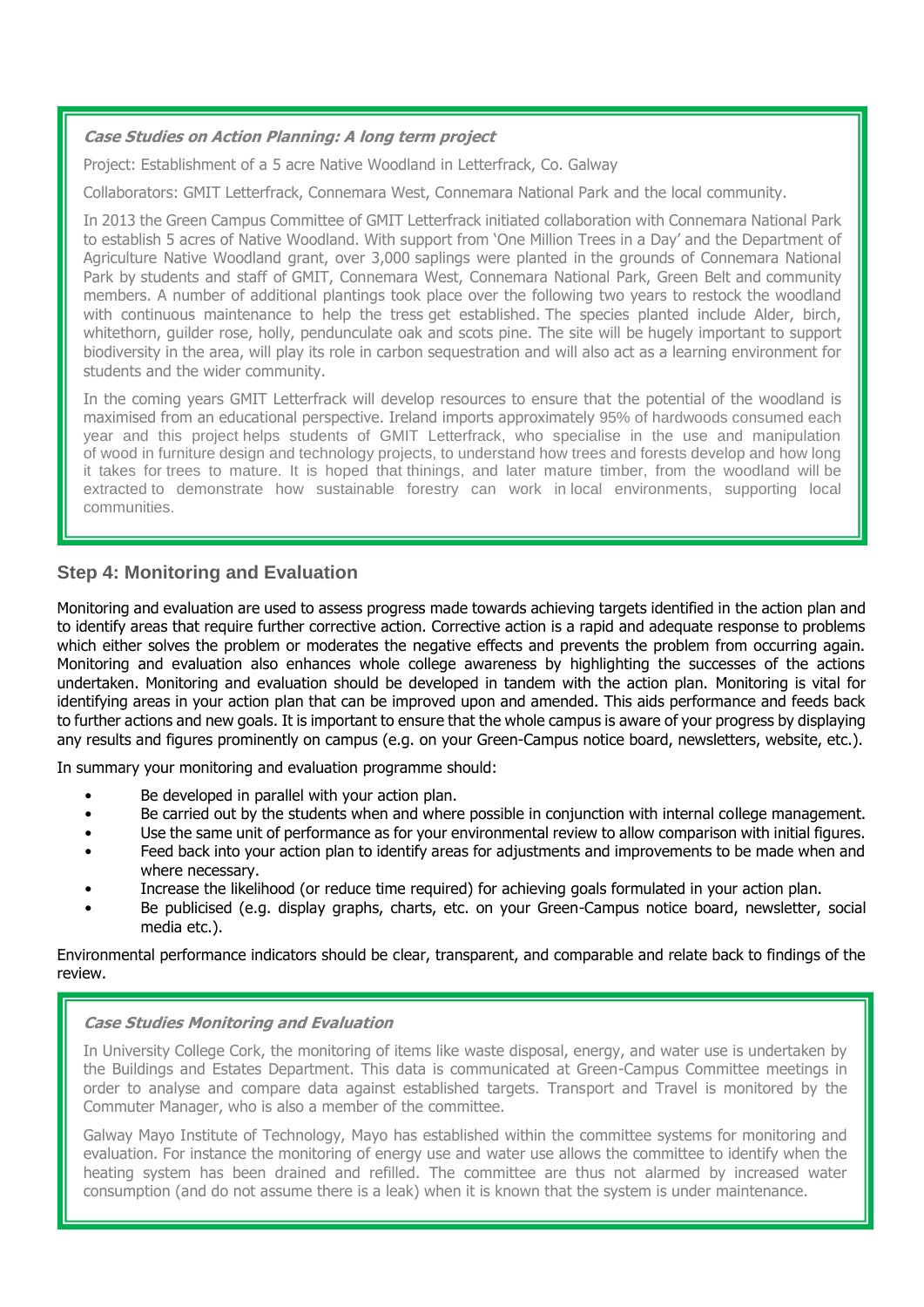### **Case Studies on Action Planning: A long term project**

Project: Establishment of a 5 acre Native Woodland in Letterfrack, Co. Galway

Collaborators: GMIT Letterfrack, Connemara West, Connemara National Park and the local community.

In 2013 the Green Campus Committee of GMIT Letterfrack initiated collaboration with Connemara National Park to establish 5 acres of Native Woodland. With support from 'One Million Trees in a Day' and the Department of Agriculture Native Woodland grant, over 3,000 saplings were planted in the grounds of Connemara National Park by students and staff of GMIT, Connemara West, Connemara National Park, Green Belt and community members. A number of additional plantings took place over the following two years to restock the woodland with continuous maintenance to help the tress get established. The species planted include Alder, birch, whitethorn, guilder rose, holly, pendunculate oak and scots pine. The site will be hugely important to support biodiversity in the area, will play its role in carbon sequestration and will also act as a learning environment for students and the wider community.

In the coming years GMIT Letterfrack will develop resources to ensure that the potential of the woodland is maximised from an educational perspective. Ireland imports approximately 95% of hardwoods consumed each year and this project helps students of GMIT Letterfrack, who specialise in the use and manipulation of wood in furniture design and technology projects, to understand how trees and forests develop and how long it takes for trees to mature. It is hoped that thinings, and later mature timber, from the woodland will be extracted to demonstrate how sustainable forestry can work in local environments, supporting local communities.

## <span id="page-16-0"></span>**Step 4: Monitoring and Evaluation**

Monitoring and evaluation are used to assess progress made towards achieving targets identified in the action plan and to identify areas that require further corrective action. Corrective action is a rapid and adequate response to problems which either solves the problem or moderates the negative effects and prevents the problem from occurring again. Monitoring and evaluation also enhances whole college awareness by highlighting the successes of the actions undertaken. Monitoring and evaluation should be developed in tandem with the action plan. Monitoring is vital for identifying areas in your action plan that can be improved upon and amended. This aids performance and feeds back to further actions and new goals. It is important to ensure that the whole campus is aware of your progress by displaying any results and figures prominently on campus (e.g. on your Green-Campus notice board, newsletters, website, etc.).

In summary your monitoring and evaluation programme should:

- Be developed in parallel with your action plan.
- Be carried out by the students when and where possible in conjunction with internal college management.
- Use the same unit of performance as for your environmental review to allow comparison with initial figures.
- Feed back into your action plan to identify areas for adjustments and improvements to be made when and where necessary.
- Increase the likelihood (or reduce time required) for achieving goals formulated in your action plan.
- Be publicised (e.g. display graphs, charts, etc. on your Green-Campus notice board, newsletter, social media etc.).

Environmental performance indicators should be clear, transparent, and comparable and relate back to findings of the review.

### **Case Studies Monitoring and Evaluation**

In University College Cork, the monitoring of items like waste disposal, energy, and water use is undertaken by the Buildings and Estates Department. This data is communicated at Green-Campus Committee meetings in order to analyse and compare data against established targets. Transport and Travel is monitored by the Commuter Manager, who is also a member of the committee.

Galway Mayo Institute of Technology, Mayo has established within the committee systems for monitoring and evaluation. For instance the monitoring of energy use and water use allows the committee to identify when the heating system has been drained and refilled. The committee are thus not alarmed by increased water consumption (and do not assume there is a leak) when it is known that the system is under maintenance.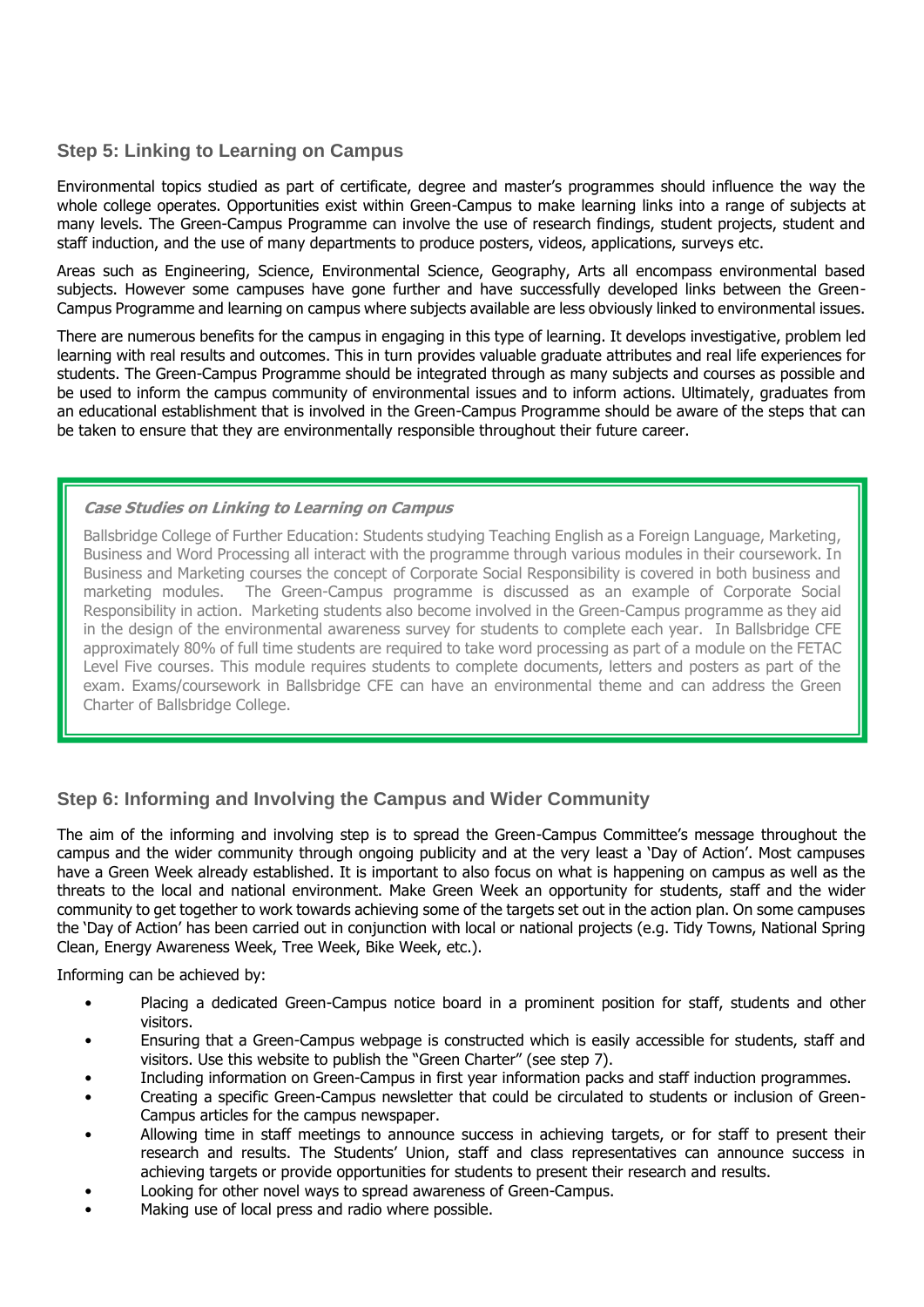## <span id="page-17-0"></span>**Step 5: Linking to Learning on Campus**

Environmental topics studied as part of certificate, degree and master's programmes should influence the way the whole college operates. Opportunities exist within Green-Campus to make learning links into a range of subjects at many levels. The Green-Campus Programme can involve the use of research findings, student projects, student and staff induction, and the use of many departments to produce posters, videos, applications, surveys etc.

Areas such as Engineering, Science, Environmental Science, Geography, Arts all encompass environmental based subjects. However some campuses have gone further and have successfully developed links between the Green-Campus Programme and learning on campus where subjects available are less obviously linked to environmental issues.

There are numerous benefits for the campus in engaging in this type of learning. It develops investigative, problem led learning with real results and outcomes. This in turn provides valuable graduate attributes and real life experiences for students. The Green-Campus Programme should be integrated through as many subjects and courses as possible and be used to inform the campus community of environmental issues and to inform actions. Ultimately, graduates from an educational establishment that is involved in the Green-Campus Programme should be aware of the steps that can be taken to ensure that they are environmentally responsible throughout their future career.

### **Case Studies on Linking to Learning on Campus**

Ballsbridge College of Further Education: Students studying Teaching English as a Foreign Language, Marketing, Business and Word Processing all interact with the programme through various modules in their coursework. In Business and Marketing courses the concept of Corporate Social Responsibility is covered in both business and marketing modules. The Green-Campus programme is discussed as an example of Corporate Social Responsibility in action. Marketing students also become involved in the Green-Campus programme as they aid in the design of the environmental awareness survey for students to complete each year. In Ballsbridge CFE approximately 80% of full time students are required to take word processing as part of a module on the FETAC Level Five courses. This module requires students to complete documents, letters and posters as part of the exam. Exams/coursework in Ballsbridge CFE can have an environmental theme and can address the Green Charter of Ballsbridge College.

# <span id="page-17-1"></span>**Step 6: Informing and Involving the Campus and Wider Community**

The aim of the informing and involving step is to spread the Green-Campus Committee's message throughout the campus and the wider community through ongoing publicity and at the very least a 'Day of Action'. Most campuses have a Green Week already established. It is important to also focus on what is happening on campus as well as the threats to the local and national environment. Make Green Week an opportunity for students, staff and the wider community to get together to work towards achieving some of the targets set out in the action plan. On some campuses the 'Day of Action' has been carried out in conjunction with local or national projects (e.g. Tidy Towns, National Spring Clean, Energy Awareness Week, Tree Week, Bike Week, etc.).

Informing can be achieved by:

- Placing a dedicated Green-Campus notice board in a prominent position for staff, students and other visitors.
- Ensuring that a Green-Campus webpage is constructed which is easily accessible for students, staff and visitors. Use this website to publish the "Green Charter" (see step 7).
- Including information on Green-Campus in first year information packs and staff induction programmes.
- Creating a specific Green-Campus newsletter that could be circulated to students or inclusion of Green-Campus articles for the campus newspaper.
- Allowing time in staff meetings to announce success in achieving targets, or for staff to present their research and results. The Students' Union, staff and class representatives can announce success in achieving targets or provide opportunities for students to present their research and results.
- Looking for other novel ways to spread awareness of Green-Campus.
- Making use of local press and radio where possible.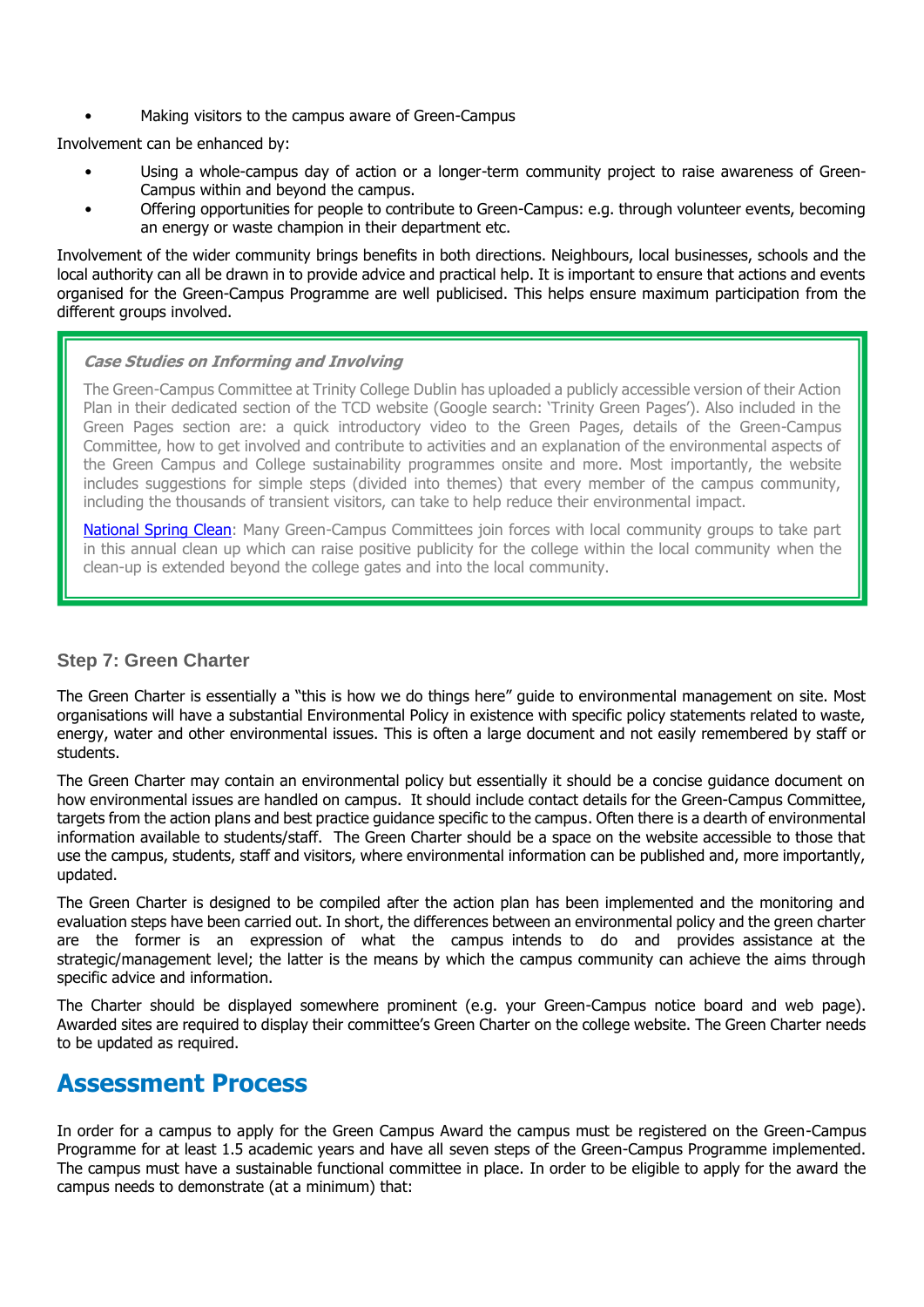• Making visitors to the campus aware of Green-Campus

Involvement can be enhanced by:

- Using a whole-campus day of action or a longer-term community project to raise awareness of Green-Campus within and beyond the campus.
- Offering opportunities for people to contribute to Green-Campus: e.g. through volunteer events, becoming an energy or waste champion in their department etc.

Involvement of the wider community brings benefits in both directions. Neighbours, local businesses, schools and the local authority can all be drawn in to provide advice and practical help. It is important to ensure that actions and events organised for the Green-Campus Programme are well publicised. This helps ensure maximum participation from the different groups involved.

#### **Case Studies on Informing and Involving**

The Green-Campus Committee at Trinity College Dublin has uploaded a publicly accessible version of their Action Plan in their dedicated section of the TCD website (Google search: 'Trinity Green Pages'). Also included in the Green Pages section are: a quick introductory video to the Green Pages, details of the Green-Campus Committee, how to get involved and contribute to activities and an explanation of the environmental aspects of the Green Campus and College sustainability programmes onsite and more. Most importantly, the website includes suggestions for simple steps (divided into themes) that every member of the campus community, including the thousands of transient visitors, can take to help reduce their environmental impact.

[National Spring Clean:](http://www.nationalspringclean.org/index.php?pagetype=home) Many Green-Campus Committees join forces with local community groups to take part in this annual clean up which can raise positive publicity for the college within the local community when the clean-up is extended beyond the college gates and into the local community.

### <span id="page-18-0"></span>**Step 7: Green Charter**

The Green Charter is essentially a "this is how we do things here" guide to environmental management on site. Most organisations will have a substantial Environmental Policy in existence with specific policy statements related to waste, energy, water and other environmental issues. This is often a large document and not easily remembered by staff or students.

The Green Charter may contain an environmental policy but essentially it should be a concise guidance document on how environmental issues are handled on campus. It should include contact details for the Green-Campus Committee, targets from the action plans and best practice guidance specific to the campus. Often there is a dearth of environmental information available to students/staff. The Green Charter should be a space on the website accessible to those that use the campus, students, staff and visitors, where environmental information can be published and, more importantly, updated.

The Green Charter is designed to be compiled after the action plan has been implemented and the monitoring and evaluation steps have been carried out. In short, the differences between an environmental policy and the green charter are the former is an expression of what the campus intends to do and provides assistance at the strategic/management level; the latter is the means by which the campus community can achieve the aims through specific advice and information.

The Charter should be displayed somewhere prominent (e.g. your Green-Campus notice board and web page). Awarded sites are required to display their committee's Green Charter on the college website. The Green Charter needs to be updated as required.

# <span id="page-18-1"></span>**Assessment Process**

In order for a campus to apply for the Green Campus Award the campus must be registered on the Green-Campus Programme for at least 1.5 academic years and have all seven steps of the Green-Campus Programme implemented. The campus must have a sustainable functional committee in place. In order to be eligible to apply for the award the campus needs to demonstrate (at a minimum) that: